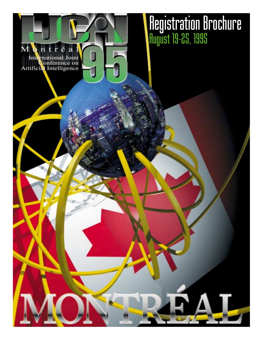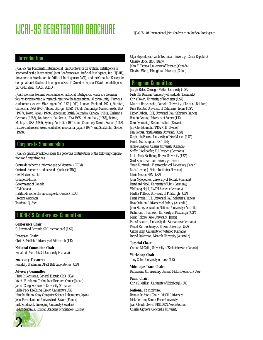### **Introduction**

IJCAI-95, the Fourteenth International Joint Conference on Artificial Intelligence, is sponsored by the International Joint Conferences on Artificial Intelligence, Inc. (IJCAII), the American Association for Artificial Intelligence (AAAI), and the Canadian Society for Computational Studies of Intelligence/Société Canadienne pour l'Étude de Intelligence par Ordinateur (CSCSI/SCEIO).

IJCAII sponsors biennial conferences on artificial intelligence, which are the main forums for presenting AI research results to the international AI community. Previous conference sites were Washington D.C., USA (1969), London, England (1971), Stanford, California, USA (1973), Tbilisi, Georgia, USSR (1975), Cambridge, Massachusetts, USA (1977), Tokyo, Japan (1979), Vancouver, British Columbia, Canada (1981), Karlsruhe, Germany (1983), Los Angeles, California, USA (1985), Milan, Italy (1987), Detroit, Michigan, USA (1989), Sydney, Australia (1991), and Chambery, Savoie, France (1983). Future conferences are scheduled for Yokohama, Japan (1997) and Stockholm, Sweden (1999).

### Corporate Sponsorship

IJCAI-95 gratefully acknowledges the generous contributions of the following corporations and organizations:

Centre de recherche informatique de Montréal (CRIM) Centre de recherche industriel du Québec (CRIQ) CAE Electronics Ltd Groupe DMR Inc. Government of Canada IBM Canada Institut de recherche en energie du Québec (IREQ) Precarn Associates Tourisme Québec

### IJCAI-95 Conference Committee

**Conference Chair:** C. Raymond Perrault, SRI International (USA)

**Program Chair:** Chris S. Mellish, University of Edinburgh (UK)

**National Committee Chair:**  Renato de Mori, McGill University (Canada)

**Secretary-Tresurer:** Ronald J. Brachman, AT&T Bell Laboratories (USA)

#### **Advisory Committee:**

Piero P. Bonissone, General Electric CRD (USA) Koichi Furukawa, Technology Research Center (Japan) Janice Glasgow, Queen's University (Canada) Leslie Pack Kaelbling, Brown University (USA) Hiroaki Kitano, Sony Computer Science Laboratory (Japan) Jean-Pierre Laurent, Université de Savoie (France) Erik Sandewall, Linköping University (Sweden) Vadim Stefanuk, Russian Academy of Sciences (Russia)



Olga Stepankova, Czech Technical University (Czech Republic) Oliviero Stock, IRST (Italy) John K. Tsostos, University of Toronto (Canada) Dinxing Wang, Tsingghua University (China)

### Program Committee:

Joseph Bates, Carnegie Mellon University (USA) Niels Ole Bernsen, University of Roskilde (Denmark) Chris Brown, University of Rochester (USA) Maurice Bruynooghe, Catholic University of Leuven (Belgium) Rina Dechter, University of California, Irvine (USA) Didier Dubois, IRIT, Université Paul Sabatier (France) Ben du Boulay, University of Sussex (UK) Saso Dzeroski, J. Stefan Institute (Slovenia) Jan-Olof Eklundh, NADA/KTH (Sweden) Ken Forbus, Northwestern University (USA) Stephanie Forrest, University of New Mexico (USA) Fausto Giunchiglia, IRST (Italy) Janice Glasgow, Queens University (Canada) Steffen Hoelldobler, TU-Dresden (Germany) Leslie Pack Kaelbling, Brown University (USA) Sarit Kraus, Bar-Ilan University (Israel) Yasuo Kuniyoshi, Electrotechnical Laboratory (Japan) Nada Lavrac, J. Stefan Institute (Slovenia) Marie Meteer, BBN (USA) John Mylopoulos, University of Toronto (Canada) Bernhard Nebel, University of Ulm (Germany) Wolfgang Nejdl, RWTH Aachen (Germany) Martha Pollack, University of Pittsburgh (USA) Henri Prade, IRIT, Université Paul Sabatier (France) Ross Quinlan, University of Sydney (Australia) John Slaney, Australian National University (Australia) Richmond Thomason, University of Pittsburgh (USA) Mario Tokoro, Keio University (Japan) Hans Uszkoreit, University des Saarlandes (Germany) Pascal Van Hentenryck, Brown University (USA) Qiang Yang, University of Waterloo (Canada) Ingrid Zukerman, Monash University (Australia)

### **Tutorial Chair:**

Gordon McCalla, University of Saskatchewan (Canada)

**Workshop Chair:** Tony Cohn, University of Leeds (UK)

#### **Videotape Track Chair:** Ramasamy Uthurusamy, General Motors Research (USA)

**Panel Chair:**

Chris S. Mellish, University of Edinburgh (UK)

#### **National Committee:**

Renato De Mori (Chair), McGill University Nick Cercone, Simon Fraser University Jean Claude Gavrel, PRECARN Associates Inc. Charles Giguere, Concordia University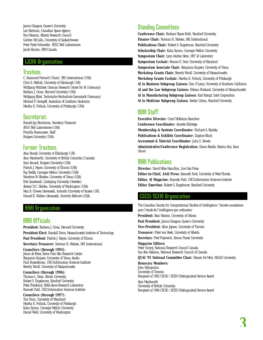Janice Glasgow, Queen's University Leo Hartman, Canadian Space Agency Roy Masrani, Alberta Research Council Gordon McCalla, University of Saskatchewan Peter Patel-Schneider, AT&T Bell Laboratories Jacob Slonim, IBM Canada

### IJCAII Organization

### Trustees:

C. Raymond Perrault (Chair), SRI International (USA) Chris S. Mellish, University of Edinburgh (UK) Wolfgang Wahlster, German Research Center for AI (Germany) Barbara J. Grosz, Harvard University (USA) Wolfgang Bibel, Technische Hochschule Darmstadt (Germany) Michael P. Georgeff, Australian AI Institute (Australia) Martha E. Pollack, University of Pittsburgh (USA)

## Secretariat:

Ronald Jay Brachman, Secretary-Treasurer AT&T Bell Laboratories (USA) Priscilla Rasmussen, Staff Rutgers University (USA)

## Former Trustees:

Alan Bundy, University of Edinburgh (UK) Alan Mackworth, University of British Columbia (Canada) Saul Amarel, Rutgers University (USA) Patrick J. Hayes, University of Illinois (USA) Raj Reddy, Carnegie Mellon University (USA) Woodrow W. Bledsoe, University of Texas (USA) Erik Sandewall, Linköping University (Sweden) Alistair D.C. Holden, University of Washington (USA) Max B. Clowes (deceased), formerly University of Sussex (UK) Donald E. Walker (deceased), formerly Bellcore (USA)

### AAAI Organization

## AAAI Officials

**President:** Barbara J. Grosz, Harvard University **President-Elect:** Randall Davis, Massachusetts Institute of Technology Past President: Patrick J. Hayes, University of Illinois

**Secretary-Treasurer:** Norman R. Nielsen, SRI International

#### **Councilors (through 1995):**

Johan de Kleer, Xerox Palo Alto Research Center Benjamin Kuipers, University of Texas, Austin Paul Rosenbloom, USC/Information Sciences Institute Beverly Woolf, University of Massachusetts

### **Councilors (through 1996):**

Thomas L. Dean, Brown University Robert S. Engelmore, Stanford University Peter Friedland, NASA Ames Research Laboratory Ramesh Patil, USC/Information Sciences Institute

### **Councilors (through 1997):**

Tim Finin, University of Maryland Martha E. Pollack, University of Pittsburgh Katia Sycara, Carnegie Mellon University Daniel Weld, University of Washington

## Standing Committees

**Conference Chair:** Barbara Hayes-Roth, Stanford University **Finance Chair:** Norman R. Nielsen, SRI International **Publications Chair:** Robert S. Engelmore, Stanford University **Scholarship Chair:** Katia Sycara, Carnegie Mellon University **Symposium Chair:** Lynn Andrea Stein, MIT AI Laboratory **Symposium Cochair:** Bonnie E. Dorr, University of Maryland **Symposium Associate Chair:** Benjamin Kuipers, University of Texas **Workshop Grants Chair:** Beverly Woolf, University of Massachusetts **Workshop Grants Cochair:** Martha E. Pollack, University of Pittsburgh **AI in Business Subgroup Liaison:** Dan O'Leary, University of Southern California **AI and the Law Subgroup Liaison:** Edwina Rissland, University of Massachusetts **AI in Manufacturing Subgroup Liaison:** Karl Kempf, Intel Corporation **AI in Medicine Subgroup Liaison:** Serdar Uckun, Stanford University

## HHHI Staff

**Executive Director:** Carol McKenna Hamilton **Conference Coordinator:** Annette Eldredge **Membership & Systems Coordinator:** Richard A. Skalsky **Publications & Exhibits Coordinator:** Daphne Black **Accountant & Tutorial Coordinator:** Julia G. Bowen **Administrative/Conference Registration:** Diane Abadie, Hasina Aziz, Kara Omori

## **AAAI** Publications

**Director:** David Mike Hamilton, Live Oak Press **Editor-in-Chief, AAAI Press:** Kenneth Ford, University of West Florida **Editor, AI Magazine:** Ramesh Patil, USC/Information Sciences Institute **Editor Emeritus:** Robert S. Engelmore, Stanford University

## CSCSI/SCEIO Organization

The Canadian Society for Computational Studies of Intelligence / Societe canadienne pour l'etude de l'intelligence par ordinateur **President:** Stan Matwin, University of Ottawa Past President: Janice Glasgow, Queen's University **Vice-President:** Allan Jepson, University of Toronto **Treasurer:** Peter van Beek, University of Alberta **Secretary:** Fred Popowich, Simon Fraser University **Magazine Editors:** Peter Turney, National Research Council Canada Sue Abu-Hakima, National Research Council of Canada **IJCAI '95 National Committee Chair:** Renato De Mori, McGill University **Honorary Members:** John Mylopoulos University of Toronto Recipient of 1992 CSCSI / SCEIO Distinguished Service Award Alan Mackworth

University of British Columbia Recipient of 1994 CSCSI / SCEIO Distinguished Service Award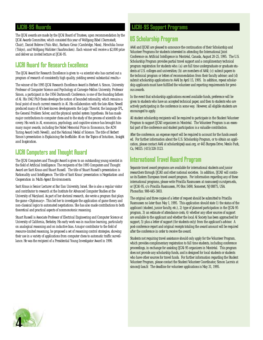### IJCAI-95 Awards

The IJCAI awards are made by the IJCAI Board of Trustees, upon recommendation by the IJCAI Awards Committee, which consisted this year of Wolfgang Bibel (Darmstadt, Chair), Daniel Bobrow (Palo Alto), Barbara Grosz (Cambridge, Mass), Hirochika Inoue (Tokyo), and Wolfgang Wahlster (Saarbrucken). Each winner will receive a \$2,000 prize and deliver an invited lecture at IJCAI-95.

## IJCAI Award for Research Excellence

The IJCAI Award for Research Excellence is given to «a scientist who has carried out a program of research of consistently high quality, yielding several substantial results.»

The winner of the 1995 IJCAI Research Excellence Award is Herbert A. Simon, University Professor of Computer Science and Psychology at Carnegie-Mellon University. Professor Simon, a participant in the 1956 Dartmouth Conference, is one of the founding fathers of AI. His 1942 PhD thesis develops the notion of bounded rationality, which remains a focal point of much current research in AI. His collaboration with the late Allen Newell produced many of AI's best-known developments: the Logic Theorist, the language IPL, the General Problem Solver, and the physical symbol system hypothesis. He has made major contributions to computer chess and to the study of the process of scientific discovery. His work in AI, economics, psychology, and cognitive science has brought him many major awards, including the Nobel Memorial Prize in Economics, the ACM Turing Award (with Newell), and the National Medal of Science. The title of Herbert Simon's presentation is *Explaining the Ineffable: AI on the Topics of Intuition, Insight and Inspiration*.

## IJCAI Computers and Thought Award

The IJCAI Computers and Thought Award is given to an outstanding young scientist in the field of Artificial Intelligence. The recipients of the 1995 Computers and Thought Award are Sarit Kraus and Stuart Russell. The title of Stuart Russell's presentation is *Rationality and Intelligence.* The title of Sarit Kraus' presentation is *Negotiation and Cooperation in Multi-Agent Environments*.

Sarit Kraus is Senior Lecturer at Bar Ilan University, Israel. She is also a regular visitor and contributor to research at the Institute for Advanced Computer Studies at the University of Maryland. As part of her doctoral research, she wrote a program that plays the game «Diplomacy». This led her to investigate the application of game theory and non-classical logics to automated negotiations. She has also made contributions to both theoretical and practical aspects of nonmonotonic reasoning.

Stuart Russell is Associate Professor of Electrical Engineering and Computer Science at University of California, Berkeley. His early work was in machine learning, particularly on analogical reasoning and on inductive bias. A major contributor to the field of resource-limited reasoning, he proposed a set of reasoning control strategies, showing their use in a variety of applications from computer chess to automatic traffic surveillance. He was the recipient of a Presidential Young Investigator Award in 1990.

## IJCAI-95 Support Programs

## US Scholarship Program

AAAI and IJCAII are pleased to announce the continuation of their Scholarship and Volunteer Programs for students interested in attending the International Joint Conference on Artificial Intelligence in Montréal, Canada, August 20-25, 1995. The U.S. Scholarship Program provides partial travel support and a complimentary technical program registration for students who: (a) are full time undergraduate or graduate students at U.S. colleges and universities; (b) are members of AAAI; (c) submit papers to the technical program or letters of recommendation from their faculty advisor; and (d) submit scholarship applications to AAAI by April 15, 1995. In addition, repeat scholarship applicants must have fulfilled the volunteer and reporting requirements for previous awards.

In the event that scholarship applications exceed available funds, preference will be given to students who have an accepted technical paper, and then to students who are actively participating in the conference in some way. However, all eligible students are encouraged to apply.

All student scholarship recipients will be required to participate in the Student Volunteer Program to support IJCAII organizers in Montréal. The Volunteer Program is an essential part of the conference and student participation is a valuable contribution.

After the conference, an expense report will be required to account for the funds awarded. For further information about the U.S. Scholarship Program, or to obtain an application, please contact AAAI at scholarships@aaai.org, or 445 Burgess Drive, Menlo Park, Ca, 94025. (415)328-3123.

## International Travel Award Program

Separate travel award programs are available for international students and junior researchers through IJCAII and other national societies. In addition, IJCAII will continue its Eastern European travel award program. For information regarding any of these international programs, please write Priscilla Rasmussen at rasmusse@cs.rutgers.edu, or IJCAI-95, c/o Priscilla Rasmussen, PO Box 5490, Somerset, NJ 08875, USA. Phone/fax: 908-445-3003.

The original and three copies of a letter of request should be submitted to Priscilla Rasmussen no later than May 1, 1995. This application should state 1) the status of the applicant (student, junior faculty, etc.), 2) type of planned participation in the IJCAI-95 program, 3) an estimate of attendance costs, 4) whether any other sources of support are available to the applicant and whether the local AI Society has been approached for support, 5) plus a letter of support (for students only) from the applicant's advisor. A post-conference report and original receipts totaling the award amount will be required after the conference in order to receive the award.

Students not requiring travel assistance should only apply for the Volunteer Program, which provides complimentary registration to full time students, including conference proceedings, in exchange for assisting IJCAI-95 organizers in Montréal. This program does not provide any scholarship funds, and is designed for local students or students who have other sources for travel funds. For further information regarding the Student Volunteer Program, please contact the Student Volunteer Coordinator, Simon Lacroix at simon@lass.fr. The deadline for volunteer applications is May 31, 1995.

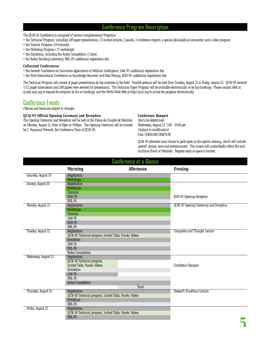## Conference Program Description

The IJCAI-95 Conference is composed of various complementary Programs:

- the Technical Program, including 249 paper presentations, 13 invited lectures, 2 panels, 3 conference reports, a special philosophical encounter, and a video program
- the Tutorial Program (19 tutorials)
- the Workshop Program (37 workshops)
- the Exhibition, including the Robot Competition (3 days)
- the Robot Building Laboratory, RBL-95 (additional registration fee)

#### **Collocated Conferences:**

- the Seventh Conference on Innovative Applications of Artificial Intelligence, IAAI-95 (additional registration fee)
- the First International Conference on Knowledge Discovery and Data Mining, KDD-95 (additional registration fee)

The Technical Program will consist of paper presentations by top scientists in the field. Parallel sessions will be held from Tuesday, August 22 to Friday, August 25. IJCAI-95 received 1112 paper submissions and 249 papers were selected for presentation. The Technical Paper Program will be available electronically or by fax/hardcopy. Please contact AAAI at ijcai@aaai.org to request the program by fax or hardcopy, and the World-Wide Web at http://ijcai.org to access the program electronically.

## Conference Events

(Venues and times are subject to change)

#### **IJCAI-95 Official Opening Ceremony and Reception**

The Opening Ceremony and Reception will be held at the Palais de Congrès de Montréal on Monday, August 21, from 6:30pm to 9:00pm. The Opening Ceremony will be chaired by C. Raymond Perrault, the Conference Chair of IJCAI-95.

### **Conference Banquet**

Site to be determined Wednesday, August 23, 7:00 - 10:00 pm (Subject to modification) Cost: US\$50.00/CAN\$70.00

IJCAI-95 attendees may choose to participate in this special evening, which will include aperitif, dinner, wine and entertainment. The cuisine will undoubtedly reflect the multicultural flavor of Montréal. Register early as space is limited.

| <b>Conference at a Glance</b> |                                                                                                                                                     |                  |                                                |
|-------------------------------|-----------------------------------------------------------------------------------------------------------------------------------------------------|------------------|------------------------------------------------|
|                               | <b>Morning</b>                                                                                                                                      | <b>Afternoon</b> | <b>Evening</b>                                 |
| Saturday, August 19           | Registration<br><b>Workshops</b>                                                                                                                    |                  |                                                |
| Sunday, August 20             | Registration<br><b>Workshops</b><br><b>Tutorials</b>                                                                                                |                  |                                                |
|                               | $KDD-95$<br><b>RBL-95</b>                                                                                                                           |                  | KDD-95 Opening Reception                       |
| Monday, August 21             | Registration<br><b>Workshops</b><br><b>Tutorials</b><br><b>IAAI-95</b><br>$KDD-95$<br>$RBL-95$                                                      |                  | <b>IJCAI-95 Opening Ceremony and Reception</b> |
| Tuesday, August 22            | Registration<br>IJCAI-95 Technical program, Invited Talks, Panels, Videos<br>Exhibition<br>IAAI-95<br>$RBL-95$<br>Robot Competition                 |                  | <b>Computers and Thought Lecture</b>           |
| Wednesday, August 23          | Registration<br>IJCAI-95 Technical program,<br>Invited Talks, Panels, Videos.<br>Exhibition<br>IAAI-95<br><b>RBL-95</b><br><b>Robot Competition</b> | <b>Tours</b>     | Conference Banquet                             |
| Thursday, August 24           | Registration<br>IJCAI-95 Technical program, Invited Talks, Panels, Videos<br>Exhibition<br><b>RBL-95</b>                                            |                  | Research Excellence Lecture                    |
| Friday, August 25             | Registration<br><b>IJCAI-95 Technical program, Invited Talks, Panels, Videos</b><br><b>RBL-95</b>                                                   |                  | س                                              |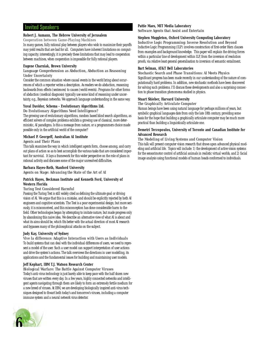### Invited Speakers

#### **Robert J. Aumann, The Hebrew University of Jerusalem**

*Cooperation between Game-Playing Machines*

In many games, fully rational play between players who wish to maximize their payoffs may yield results that are bad for all. Computers have inherent limitations on computing capacity; interestingly, it is precisely these limitations that may lead to cooperation between machines, when cooperation is impossible for fully rational players.

#### **Eugene Charniak, Brown University**

#### *Language Comprehension as Abduction, Abduction as Reasoning Under Uncertainty*

Consider the common situation where causal events in the world bring about occurrences of which a reporter writes a description. As readers we do abduction, reasoning backwards from effects (sentences) to causes (world events). Programs for other forms of abduction (medical diagnosis) typically use some kind of reasoning under uncertainty, e.g., Bayesian networks. We approach language understanding in the same way.

#### **Yuval Davidor, Schema - Evolutionary Algorithms Ltd.**

*Do Evolutionary Algorithms Need Intelligence?* 

The growing use of evolutionary algorithms, random based blind search algorithms, as efficient solvers of complex problems exhibits a growing use of classical, more deterministic, AI paradigms. Is this a message from nature, or a programmers choice made possible only in the artificial world of the computer?

#### **Michael P. Georgeff, Australian AI Institute**

#### *Agents and Their Plans*

This talk examines the way in which intelligent agents form, choose among, and carry out plans of action so as to best accomplish the various tasks that are considered important for survivial. It lays a framework for this wider perspective on the role of plans in rational activity and discusses some of the major unresolved difficulties.

#### **Barbara Hayes-Roth, Stanford University**

*Agents on Stage: Advancing the State of the Art of AI*

#### **Patrick Hayes, Beckman Institute and Kenneth Ford, University of Western Florida**

#### *Turing Test Considered Harmful*

Passing the Turing Test is still widely cited as defining the ultimate goal or driving vision of AI. We argue that this is a mistake, and should be explicitly rejected by both AI engineers and cognitive scientists. The Test is a poor experimental design; but more seriously, it is misconceived, and this misconception has done considerable harm to the field. Other technologies began by attempting to imitate nature, but made progress only by abandoning this naive idea. We describe an alternative view of what AI is about and what its aims should be, which fits better with the actual direction of most AI research and bypasses many of the philosophical attacks on the subject.

#### **Judy Kay, University of Sydney**

*Vive la difference: Adaptive Interaction with Users as Individuals*  To build systems that can deal with the individual differences of users, we need to represent a model of the user. Such a user model can support interpretation of user actions and drive the system's actions. The talk overviews the directions in user modelling, its applications and the fundamental issues for building and maintaining user models.

#### **Jeff Kephart, IBM T.J. Watson Research Center**

*Biological Warfare: The Battle Against Computer Viruses*  Today's anti-virus technology is just barely able to keep pace with the half dozen new viruses that are written every day. In a few years, highly connected networks and intelligent agents navigating through them are likely to form an extremely fertile medium for a new breed of viruses. At IBM, we are developing biologically inspired anti-virus techniques designed to thwart both today's and tomorrow's viruses, including a computer immune system and a neural network virus detector.



#### **Pattie Maes, MIT Media Laboratory**

*Software Agents that Assist and Entertain*

### **Stephen Muggleton, Oxford University Computing Laboratory**

*Inductive Logic Programming: Inverse Resolution and Beyond*  Inductive Logic Programming (ILP) involves construction of first-order Horn clauses from examples and background knowledge. This paper will explain the driving forces within a particular line of development within ILP, from the inversion of resolution proofs, via relative least general generalisation to inversion of semantic entailment.

#### **Bart Selman, AT&T Bell Laboratories**

*Stochastic Search and Phase Transitions: AI Meets Physics*  Significant progress has been made recently in our understanding of the nature of computationally hard problems. In addition, new stochastic methods have been discovered for solving such problems. I'll discuss these developments and also a surprising connection to phase transition phenomena studied in physics.

#### **Stuart Shieber, Harvard University**

*The Graphically Articulate Computer* 

Human beings have been using natural language for perhaps millions of years, but symbolic graphical languages date from only the late 18th century, providing some basis for the hope that building a graphically articulate computer may be much more practical than building a linguistically articulate one.

#### **Demetri Terzopoulos, University of Toronto and Canadian Institute for Advanced Research**

#### *The Modeling of Living Systems and Computer Vision*

This talk will present computer vision research that draws upon advanced physical modeling and artificial life. Topics will include: 1) the development of active vision systems for the sensorimotor control of artificial animals in realistic virtual worlds, and 2) facial image analysis using functional models of human heads conformed to individuals.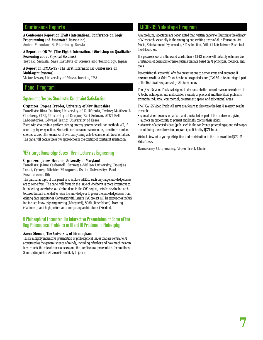### Conference Reports

#### **A Conference Report on LPAR (International Conference on Logic Programming and Automated Reasoning)** *Andrei Voronkov, St Petersburg, Russia*

**A Report on QR '94 (The Eighth International Workshop on Qualitative Reasoning about Physical Systems)** 

*Toyoaki Nishida, Nara Institute of Science and Technology, Japan*

**A Report on ICMAS-95 (The First International Conference on MultiAgent Systems)** 

*Victor Lesser, University of Massachusetts, USA*

### Panel Program

### Systematic Versus Stochastic Constraint Satisfaction

#### **Organizer: Eugene Freuder, University of New Hampshire**

*Panelists: Rina Dechter, University of California, Irvine; Matthew L. Ginsberg, CIRL, University of Oregon; Bart Selman, AT&T Bell Laboratories; Edward Tsang, University of Essex*

Faced with choices in a problem solving process, systematic solution methods will, if necessary, try every option. Stochastic methods can make choices, sometimes random choices, without the assurance of eventually being able to consider all the alternatives. The panel will debate these two approaches in the context of constraint satisfaction.

### VERY Large Knowledge Bases - Architecture vs Engineering

#### **Organizer: James Hendler, University of Maryland**

*Panelists: Jaime Carbonell, Carnegie-Mellon University; Douglas Lenat, Cycorp; Riichiro Mizoguchi, Osaka University; Paul Rosenbloom, ISI;* 

The particular topic of this panel is to explore WHERE such very large knowledge bases are to come from. The panel will focus on the issue of whether it is more imperative to be collecting knowledge, as is being done in the CYC project, or to be developing architectures that are intended to learn the knowledge or to glean the knowledge bases from existing data repositories. Contrasted with Lenat's CYC project will be approaches including focused knowledge engineering (Mizoguchi), SOAR (Rosenbloom), learning (Carbonell), and high performance computing architectures (Hendler).

### A Philosophical Encounter: An Interactive Presentation of Some of the Key Philosophical Problems in AI and AI Problems in Philosophy.

#### **Aaron Sloman, The University of Birmingham**

This is a highly interactive presentation of philosophical issues that are central to AI (construed as the general science of mind), including: whether and how machines can have minds, the role of consciousness and the architectural prerequisites for emotions. Some distinguished AI theorists are likely to join in.

### IJCAI-95 Videotape Program

As a medium, videotapes are better suited than written papers to illuminate the efficacy of AI research, especially in the emerging and exciting areas of AI in Education, Art, Music, Entertainment, Hypermedia, 3-D Animation, Artificial Life, Network-Based tools like Mosaic, etc.

If a picture is worth a thousand words, then a (3-D) movie will certainly enhance the illustration of behaviors of these systems that are based on AI principles, methods, and tools.

Recognizing this potential of video presentations to demonstrate and augment AI research results, a Video Track has been designated since IJCAI-89 to be an integral part of the Technical Programs of IJCAI Conferences.

The IJCAI-95 Video Track is designed to demonstrate the current levels of usefulness of AI tools, techniques, and methods for a variety of practical and theoretical problems arising in industrial, commercial, government, space, and educational areas.

The IJCAI-95 Video Track will serve as a forum to showcase the best AI research results through:

- special video sessions, organized and timetabled as part of the conference, giving authors an opportunity to present and briefly discuss their videos;
- abstracts of accepted videos (published in the conference proceedings); and videotapes containing the entire video program (published by IJCAI Inc.).

We look forward to your participation and contribution to the success of the IJCAI-95 Video Track.

#### *Ramasamy Uthurusamy, Video Track Chair*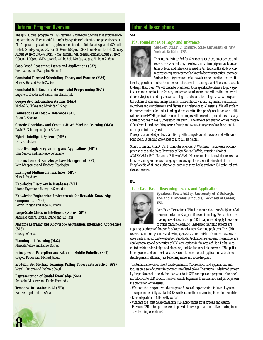### Tutorial Program Overview

The IJCAI tutorial program for 1995 features 19 four-hour tutorials that explore evolving techniques. Each tutorial is taught by experienced scientists and practitioners in AI. A separate registration fee applies to each tutorial. Tutorials designated «SA» will be held Sunday, August 20, from 9:00am–1:00pm. «SP» tutorials will be held Sunday, August 20, from 2:00–6:00pm. «MA» tutorials will be held Monday, August 21, from 9:00am–1:00pm. «MP» tutorials will be held Monday, August 21, from 2–6pm.

**Case-Based Reasoning: Issues and Applications (SA2)** Kevin Ashley and Evangelos Simoudis

**Constraint Directed Scheduling: Theory and Practice (MA4)** Mark S. Fox and Monte Zweben

**Constraint Satisfaction and Constraint Programming (SA5)** Eugene C. Freuder and Pascal Van Hentenryck

**Cooperative Information Systems (MA5)** Michael N. Huhns and Munindar P. Singh

**Foundations of Logic & Inference (SA1)** Stuart C. Shapiro

**Genetic Algorithms and Genetics-Based Machine Learning (MA3)**  David E. Goldberg and John R. Koza

**Hybrid Intelligent Systems (MP3)** Larry R. Medsker

**Inductive Logic Programming and Applications (MP4)** Stan Matwin and Francesco Bergadano

**Information and Knowledge Base Management (SP5)** John Mylopoulos and Thodoros Topaloglou

**Intelligent Multimedia Interfaces (MP5)** Mark T. Maybury

**Knowledge Discovery in Databases (MA1)** Usama Fayyad and Evangelos Simoudis

**Knowledge Engineering Environments for Reusable Knowledge Components (MP2)** Henrik Eriksson and Angel R. Puerta

**Large-Scale Chaos in Intelligent Systems (SP4)**

Kazuyuki Aihara, Hiroaki Kitano and Jun Tani

**Machine Learning and Knowledge Acquisition: Integrated Approaches (SA3)**

Gheorghe Tecuci

**Planning and Learning (MA2)** Manuela Veloso and Daniel Borrajo

**Principles of Perception and Action in Mobile Robotics (SP1)** Gregory Dudek and Michael Jenkin

**Probabilistic Machine Learning: Putting Theory into Practice (SP2)** Wray L. Buntine and Padhraic Smyth

**Representation of Spatial Knowledge (SA4)** Amitabha Mukerjee and Daniel Hernández

**Temporal Reasoning in AI (SP3)** Han Reichgelt and Lluis Vila

### Tutorial Descriptions

### **SA1:**

#### **Title: Foundations of Logic and Inference**



*Speaker: Stuart C. Shapiro, State University of New York at Buffalo, USA*

This tutorial is intended for AI students, teachers, practitioners and researchers who feel they have less than a firm grip on the foundations of logic and inference as used in AI. Logic is the study of correct reasoning, not a particular knowledge representation language. Various logics (systems of logic) have been designed to capture dif-

ferent applications and different notions of «correct reasoning,» and AI'ers must be able to design their own. We will describe what needs to be specified to define a logic - syntax, semantics, syntactic inference, and semantic inference- and will do this for several different logics, including the standard logics and clause-form logics. We will explain the notions of domains, interpretations, theoremhood, validity, argument, consistence, soundness and completeness, and discuss their relevance to AI systems. We will explain the proper contexts for understanding: direct vs. refutation proofs; resolution and unification; the ANSWER predicate. Concrete examples will be used to ground these usually abstract notions in easily understood situations. The style of explanation of this material has been honed over thirty years of study and twenty-four years of teaching, and is not duplicated in any text.

Prerequisite knowledge: Basic familiarity with computational methods and with symbolic logic. A reading knowledge of Lisp will be helpful.

Stuart C. Shapiro (Ph.D., 1971, computer sciences, U. Wisconsin) is professor of computer science at the State University of New York at Buffalo, outgoing Chair of ACM/SIGART (1991-95), and a Fellow of AAAI. His research is in knowledge representation, reasoning and natural language processing. He is the editor-in-chief of the Encyclopedia of AI, and author or co-author of three books and over 150 technical articles and reports.

#### **SA2:**

#### **Title: Case-Based Reasoning: Issues and Applications**



*Speakers: Kevin Ashley, University of Pittsburgh, USA and Evangelos Simoudis, Lockheed AI Center, USA*

Case-Based Reasoning (CBR) has matured as a subdiscipline of AI research and as an AI applications methodology. Researchers are making new strides in using CBR to capture and apply knowledge to guide machine learning. Case-based planning systems are

applying databases of thousands of cases to solve new planning problems. The CBR research community is now addressing questions characteristic of a more mature science, such as appropriate evaluation standards. Applications engineers, meanwhile, are developing a second generation of CBR applications in the areas of Help Desks, automated assistants for design and diagnosis, and forging new links between CBR applications systems and on-line databases. Successful commercial applications with demonstrable gains in efficiency are becoming more and more frequent.

This tutorial showcases recent developments in CBR research and applications and focuses on a set of current important issues listed below. The tutorial is designed primarily for professionals already familiar with basic CBR concepts and programs. Our brief introduction to CBR should, however, enable beginners to understand and participate in the discussion of the issues:

- What are the comparative advantages and costs of implementing industrial systems using commercially available CBR shells rather than developing them from scratch? - Does adaptation in CBR really work?
- What are the latest developments in CBR applications for diagnosis and design?
- How can CBR techniques be used to provide knowledge that can utilized during inductive learning operations?

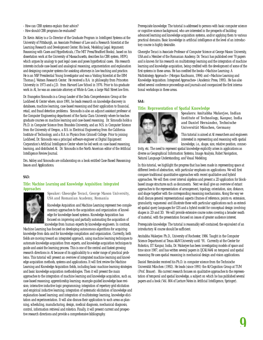- How can CBR systems explain their advice?

- How should CBR programs be evaluated?

Dr. Kevin Ashley is a Co-Director of the Graduate Program in Intelligent Systems at the University of Pittsburgh, an Associate Professor of Law and a Research Scientist at the Learning Research and Development Center. His book, Modeling Legal Argument: Reasoning with Cases and Hypotheticals, (The MIT Press/Bradford Books), based on his dissertation work at the University of Massachusetts, describes his CBR system, HYPO, which argues by analogy to past legal cases and poses hypothetical cases. His research interests include case-based and analogical reasoning, argumentation and explanation and designing computer systems for assisting attorneys in law teaching and practice. He is an NSF Presidential Young Investigator and was a Visiting Scientist at the IBM Thomas J. Watson Research Center. He received a B.A. in philosophy from Princeton University in 1973 and a J.D. from Harvard Law School in 1976. Prior to his graduate work in AI, he was an associate attorney at White & Case, a large Wall Street law firm.

Dr. Evangelos Simoudis is a Group Leader of the Data Comprehension Group at the Lockheed AI Center where, since 1991, he leads research on knowledge discovery in databases, machine learning, case-based reasoning and their application to financial, retail, and fraud detection problems. Simoudis is also an adjunct assistant professor at the Computer Engineering department of the Santa Clara University where he teaches graduate courses on machine learning and case-based reasoning. Dr. Simoudis holds a Ph.D. in Computer Science from Brandeis University, and an M.S. in Computer Science from the University of Oregon, a B.S. in Electrical Engineering from the California Institute of Technology, and a B.A. in Physics from Grinnell College. Prior to joining Lockheed, Dr. Simoudis was a principal software engineer at Digital Equipment Corporation's Artificial Intelligence Center where he led work on case-based reasoning, learning, and distributed AI. Dr. Simoudis is the North American editor of the Artificial Intelligence Review Journal.

Drs. Ashley and Simoudis are collaborating on a book entitled *Case-Based Reasoning: Issues and Applications.*

#### **SA3:**

#### **Title: Machine Learning and Knowledge Acquisition: Integrated Approaches**



*Speaker: Gheorghe Tecuci, George Mason University, USA and Romanian Academy, Romania*

Knowledge Acquisition and Machine Learning represent two complementary approaches to the acquisition and organization of knowledge for knowledge-based systems. Knowledge Acquisition has focused on improving and partially automating the acquisition of knowledge from human experts by knowledge engineers. In contrast,

Machine Learning has focused on developing autonomous algorithms for acquiring knowledge from data and for knowledge compilation and organization. Currently, both fields are moving toward an integrated approach, using machine learning techniques to automate knowledge acquisition from experts, and knowledge acquisition techniques to guide and assist the learning process. This is one of the central and fastest growing research directions in AI because of its applicability to a wider range of practical problems. This tutorial will present an overview of integrated machine learning and knowledge acquisition methods, systems and applications. It will first review the Machine Learning and Knowledge Acquisition fields, including basic machine learning strategies and basic knowledge acquisition methodologies. Then it will present the main approaches to the integration of machine learning and knowledge acquisition, such as, case-based reasoning; apprenticeship learning; example-guided knowledge base revision; interactive inductive logic programming; integration of repertory grid elicitation and empirical inductive learning; integration of systematic elicitation of knowledge and explanation-based learning; and integration of multistrategy learning, knowledge elicitation and experimentation. It will also discuss their application to such areas as planning, scheduling, manufacturing, design, medical diagnosis, mechanical diagnosis, control, information retrieval and robotics. Finally, it will present current and prospective research directions and provide a comprehensive bibliography.

Prerequisite knowledge: The tutorial is addressed to persons with basic computer science or cognitive science background, who are interested in the prospects of building advanced learning and knowledge acquisition systems, and/or applying them to various practical domains. Basic knowledge in artificial intelligence at the level of an introductory course is highly desirable.

Gheorghe Tecuci is Associate Professor of Computer Science at George Mason University, USA and a Member of the Romanian Academy. Dr. Tecuci has published over 70 papers and is known for his research on multistrategy learning and the integration of machine learning and knowledge acquisition, being credited with the development of some of the first systems in these areas. He has coedited the books «Machine Learning: A Multistrategy Approach» (Morgan Kaufmann, 1994) and «Machine Learning and Knowledge Acquisition: Integrated Approaches» (Academic Press, 1995). He has also edited several conference proceedings and journals and coorganized the first international workshops in these areas.

#### **SA4:**

#### **Title: Representation of Spatial Knowledge**



*Speakers: Amitabha Mukerjee, Indian Institute of Technology, Kanpur, India and Daniel Hernández, Technische Universität München, Germany*

This tutorial is aimed at AI researchers and engineers interested in representing and reasoning with spatial knowledge, i.e., shape, size, relative position, connec-

tivity, etc. The need to represent spatial knowledge explicitly arises in applications as diverse as Geographical Information Systems, Image Analysis, Robot Navigation, Natural Language Understanding, and Visual Modeling.

In this tutorial, we highlight the progress that has been made in representing space at different levels of abstraction, with particular emphasis on applications. We will first compare traditional quantitative approaches with recent qualitative and hybrid approaches. We will then cover interval algebras and present a 2D application for blockbased image structures such as documents. Next we shall give an overview of extant approaches to the representation of arrangement, topology, orientation, size, distance, and shape together with the corresponding reasoning mechanisms. Along the way we shall discuss general representational aspects (frames of reference, points vs. extension, granularity, vagueness) and illustrate these with particular applications such as extended spatial query languages for GIS and a hybrid model for conceptual design involving shapes in 2D and 3D. We will provide extensive course notes covering a broader swath of material, with the presentation focused on issues of greater audience interest.

Prerequisite knowledge: The tutorial is reasonably self-contained; the equivalent of an introductory AI course should be sufficient.

Amitabha Mukerjee: Ph.D., University of Rochester, 1986. Taught in the Computer Science Department at Texas A&M University until '91. Currently at the Center for Robotics, IIT Kanpur, India, Dr. Mukerjee has been investigating models of space and time since 1987, and has written several papers in IJCAI/AAAI on temporal and spatial reasoning He uses spatial reasoning in mechanical design and vision applications.

Daniel Hernández received his Ph.D. in computer science from the Technische Universität München (1992). He leads (since 1991) the AI/Cognition Group at TUM (Prof. Brauer). His current research focuses on qualitative approaches to the representation of temporal and spatial knowledge, a subject on which he has published several papers and a book (Vol. 804 of Lecture Notes in Artificial Intelligence, Springer).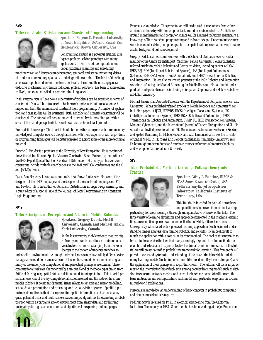#### **SA5:**

#### **Title: Constraint Satisfaction and Constraint Programming**



*Speakers: Eugene C. Freuder, University of New Hampshire, USA and Pascal Van Hentenryck, Brown University, USA*

Constraint satisfaction is a powerful artificial intelligence problem-solving paradigm with many applications. These include configuration and design problems, planning and scheduling,

machine vision and language understanding, temporal and spatial reasoning, defeasible and causal reasoning, qualitative and diagnostic reasoning. The ideal of describing a constraint problem domain in natural, declarative terms and then letting general deductive mechanisms synthesize individual problem solutions, has been to some extent realized, and even embodied in programming languages.

In this tutorial you will see how a wide variety of problems can be expressed in terms of constraints. You will be introduced to basic search and constraint propagation techniques and learn the rudiments of constraint logic programming. A number of applications and case studies will be presented. Both symbolic and numeric constraints will be considered. The tutorial will present material at several levels, providing you with a sense of the paradigm's potential, as well as a basic technical background.

Prerequisite knowledge: The tutorial should be accessible to anyone with a rudimentary knowledge of computer science, though attendees with more experience with algorithms or programming languages will be better prepared to absorb some of the more technical material.

Eugene C. Freuder is a professor at the University of New Hampshire. He is coeditor of the *Artificial Intelligence Special Volume*: *Constraint*-*Based Reasoning*, and editor of the *IEEE Expert* Special Track on Constraint Satisfaction. His many publications on constraints include multiple contributions to the AAAI and IJCAI conferences and the AI and JACM Journals.

Pascal Van Hentenryck is an assistant professor at Brown University. He is one of the designers of the CHIP language and the designer of the constraint languages cc (FD) and Newton. He is the author of *Constraint Satisfaction in Logic Programming*, and a guest editor of a special issue of the *Journal of Logic Programming* on Constraint Logic Programming.

#### **SP1:**

#### **Title: Principles of Perception and Action in Mobile Robotics**



#### *Speakers: Gregory Dudek, McGill University, Canada and Michael Jenkin, York University, Canada*

In the last few years, mobile robotics matured significantly and can be used to send autonomous vehicles to environments ranging from the Polar Icecaps to the bottom of undersea trenches, to

indoor office environments. Although individual robots may have wildly different external appearances, different mechanisms of locomotion, and different missions or goals, many of the underlying computational and perceptual principles are similar. These computational tasks are characterized by a unique blend of methodologies drawn from Artificial Intelligence, spatial data acquisition and data interpretation. This tutorial presents an overview of the key computational issues involved and the state of the art in mobile robotics. It covers fundamental issues related to sensing and sensor modelling, spatial data representation and reasoning, and actual existing systems. Specific topics include alternative methods for representing spatial information such as occupancy grids, potential fields and multi-scale elevation maps, algorithms for estimating a robots position within a (partially) known environment from sensor data and for limiting uncertainty during data acquisition, and algorithms for exploring and mapping space.

Prerequisite knowledge: This presentation will be directed at researchers from either academia or industry with limited prior background in mobile robotics. A solid background in mathematics and computer science will be assumed including, specifically, a knowledge of linear algebra, programming and software design. Undergraduate course work in computer vision, computer graphics, or spatial data representation would assure a solid background but is not required.

Gregory Dudek is an Assistant Professor with the School of Computer Science and a member of the Centre for Intelligent Machines, McGill University. He has published refereed articles in Mobile Robotics and Computer Vision, including papers at IJCAI, IEEE/RSJ IROS (Intelligent Robots and Systems), IAS (Intelligent Autonomous Systems), IEEE R&A (Robotics and Automation), and IEEE Transactions on Robotics and Automation. He was also an invited presenter at the 1992 Robotics and Automation workshop «Sensing and Spatial Reasoning for Mobile Robots». He has taught undergraduate and graduate courses including «Computer Graphics» and «Mobile Robotics» at McGill University.

Michael Jenkin is an Associate Professor with the Department of Computer Science, York University. He has published refereed articles in Mobile Robotics and Computer Vision, including papers at IJCAI, IEEE/RSJ IROS (Intelligent Robots and Systems), IAS (Intelligent Autonomous Systems), IEEE R&A (Robotics and Automation), IEEE Transactions on Robotics and Automation, CVGIP: IU, IEEE Transactions on Systems, Man and Cybernetics, and the International Journal of Pattern Recognition and AI. He was also an invited presenter at the 1992 Robotics and Automation workshop «Sensing and Spatial Reasoning for Mobile Robots» and with Laurence Harris was the co-editor of *Spatial Vision in Humans and Robots*, published by Cambridge University Press. He has taught undergraduate and graduate courses including «Computer Graphics» and «Computer Vision» at York University

#### **SP2:**

#### **Title: Probabilistic Machine Learning: Putting Theory into Practice**



*Speakers: Wray L. Buntine, RIACS & NASA Ames Research Center, USA Padhraic Smyth, Jet Propulsion Laboratory, California Institute of Technology, USA*

This Tutorial is intended for both AI researchers and practitioners interested in machine learning,

particularly for those seeking a thorough and quantitative overview of the field. The large variety of learning algorithms and approaches presented in the machine learning literature can often appear as a random collection of widely different methods. Consequently, when faced with a practical learning application (such as in text understanding, image analysis, data mining, robotics, and so forth) it can be difficult to match the application with a particular learning method. The goal of this tutorial is to impart to the attendee the idea that many seemingly disparate learning methods can often be understood at a first principles level within a common framework. In this tutorial we will present a unified probabilistic framework for learning. This framework will provide a clear and *systematic* understanding of the basic principles which underlie many learning models (including maximum likelihood and Bayesian techniques) and the application of these principles in algorithmic form. The tutorial will focus in particular on the interrelationships which exist among popular learning models such as decision trees, neural network models, and exemplar-based methods. We will present the basic motivation and concepts behind each model with particular emphasis on successful real-world applications.

Prerequisite knowledge: An understanding of basic concepts in probability, computing and elementary calculus is required.

Padhraic Smyth received his Ph.D. in electrical engineering from the California Institute of Technology in 1988, Since then he has been working at the Jet Propulsion

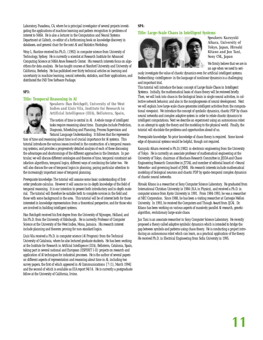Laboratory, Pasadena, CA, where he is principal investigator of several projects investigating the applications of machine learning and pattern recognition to problems of interest to NASA. He is also a lecturer in the Computation and Neural Systems Department at Caltech, co-editor of a forthcoming book on knowledge discovery in databases, and general chair for the next AI and Statistics Workshop.

Wray L. Buntine received his Ph.D.. (1992) in computer science from University of Technology, Sydney. He is currently a scientist at Research Institute for Advanced Computing Science at NASA Ames Research Center. His research interests focus on algorithms for data analysis. He has taught courses at Stanford University and University of California, Berkeley. He has published over thirty technical articles on learning and uncertainty in machine learning, neural networks, statistics, and their applications, and distributed the IND Tree Software Package.

#### **SP3:**

#### **Title: Temporal Reasoning in AI**



*Speakers: Han Reichgelt, University of the West Indies and Lluis Vila, Institute for Research in Artificial Intelligence (IIIA), Bellaterra, Spain,*

The notion of time is central in AI. A whole range of intelligent tasks require reasoning about time. Examples include Prediction, Diagnosis, Scheduling and Planning, Process Supervision and Natural Language Understanding. It follows that the representa-

tion of time and reasoning about time is of crucial importance for AI systems. This tutorial introduces the various issues involved in the construction of a temporal reasoning systems, and provides a progressively detailed analysis of each of these discussing the advantages and shortcomings of the different approaches in the literature. In particular, we will discuss different ontologies and theories of time, temporal constraint satisfaction algorithms, temporal logics, different ways of combining the latter two. We will also discuss the use of temporal logics in planning, paying particular attention to the increasingly important issue of temporal planning.

Prerequisite knowledge: The tutorial will assume some basic understanding of firstorder predicate calculus. However it will assume no in-depth knowledge of the field of temporal reasoning. It is our intention to present both introductory and in-depth material. The tutorial will therefore be suitable both to complete novices in the field and those with some background in the area. This tutorial will be of interest both for those interested in knowledge representation from a theoretical perspective, and for those who are involved in building intelligent systems.

Han Reichgelt received his first degree from the University of Nijmegen, Holland, and his Ph.D. from the University of Edinburgh. He is currently Professor of Computer Science at the University of the West Indies, Mona, Jamaica. His research interest include planning and theorem proving for non-standard logics.

Lluís Vila received a Ph.D. in computer science (AI Program) from the Technical University of Catalonia, where he also lectured graduate students. He has been working at the Institute for Research in Artificial Intelligence (IIIA), Bellaterra, Catalonia, Spain, taking part in several national and European (ESPIRIT I-II) projects on research and application of AI techniques for industrial processes. He is the author of several papers on different aspects of representation and reasoning about time in AI, including two survey papers, the first of which appeared in *AI Communications* [7 (1), March 1994] and the second of which is available as IIIA report 94/14. He is currently a postgraduate fellow at the University of California, Irvine.

### **SP4:**

#### **Title: Large-Scale Chaos in Intelligent Systems**



*Speakers: Kazuyuki Aihara, University of Tokyo, Japan, Hiroaki Kitano and Jun Tani, Sony CSL, Japan* 

We firmly believe that we are in an age when we need to seri-

ously investigate the value of chaotic dynamics even for artificial intelligent systems. Redescribing «intelligence» in the language of nonlinear dynamics is a challenging and important trial.

This tutorial will introduce the basic concept of *Large-Scale Chaos in Intelligent Systems*. Initially, the mathematical basis of chaos theory will be reviewed briefly. Then, we will look into chaos in the biological brain in single neural activities, in collective network behavior, and also in the morphogenesis of neural development. Next we will explain how large-scale chaos generates intelligent activities from the computational viewpoint. We introduce the concept of symbolic dynamics, chaotic PDP by chaos neural networks and complex adaptive system in order to relate chaotic dynamics to intelligent computations. Next we describe an experiment using an autonomous robot in an attempt to apply the theory and the modeling to the physical world. Finally, the tutorial will elucidate the problems and opportunities ahead of us.

Prerequisite knowledge: No prior knowledge of chaos theory is required. Some knowledge of dynamical systems would be helpful, though not required.

Kazuyuki Aihara received is Ph.D.(1982) in electronic engineering from the University of Tokyo. He is currently an associate professor of mathematical engineering at the University of Tokyo, chairman of Biochaos Research Committee in JEIDA and Chaos Engineering Research Committee in JTTAS, and member of editorial board of «Neural Networks» and governing board of JNNS. His research interests include mathematical modeling of biological neurons and chaotic PDP by spatio-temporal complex dynamics of chaotic neural networks.

Hiroaki Kitano is a researcher at Sony Computer Science Laboratory. He graduated from International Christian University in 1984 (B.A. in Physics), and received a Ph.D. in computer science from Kyoto University in 1991. From 1984-1993, he was a researcher at NEC Corporation. Since 1988, he has been a visiting researcher at Carnegie Mellon University. In 1993, he received the Computers and Though Award from IJCAI. Dr. Kitano has been working on various aspects of massively parallel AI research, genetic algorithm, evolutionary large-scale chaos.

Jun Tani is an associate researcher in Sony Computer Science Laboratory. He recently proposed a theory called adaptive symbolic dynamics which is intended to bridge the gap between symbols and patterns using chaos theory. He is conducting a project introducing an autonomous robot which can learn, as a practical application of the theory. He received Ph.D. in Electrical Engineering from Sofia University in 1995.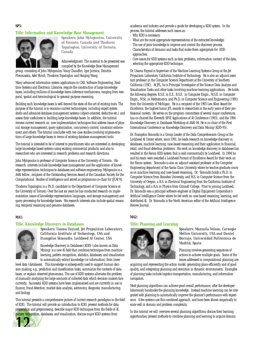#### **Title: Information and Knowledge Base Management**



*Speakers: John Mylopoulos, University of Toronto, Canada and Thodoros Topaloglou, University of Toronto, Canada*

Acknowledgment: The material to be presented was compiled by the Knowledge Base Management

group, consisting of John Mylopoulos, Vinay Chaudhri, Igor Jurisica, Dimitris Plexousakis, Adel Shrufi, Thodoros Topaloglou and Haiqing Wang.

Many advanced information system applications in CAD, Software Engineering, Realtime Systems and Electronic Libraries, require the construction of large knowledge bases, including millions of knowledge items inference mechanisms, ranging from temporal, spatial and terminological to general-purpose reasoning.

Building such knowledge bases is well-beyond the state-of-the-art of existing tools. The purpose of the tutorial is to examine current technologies, including expert system shells and advanced database management systems (object-oriented, deductive etc.) and assess their usefulness in building large knowledge bases. In addition, the tutorial reviews current research on new implementation techniques that address issues of physical storage management, query optimization, concurrency control, constraint enforcement and others. The tutorial concludes with two case studies involving implementations of large knowledge bases in terms of existing database management tools.

The tutorial is intended to be of interest to practitioners who are interested in developing large knowledge based systems using existing commercial products, and also to researchers who are interested in research problems and research directions.

John Mylopoulos is professor of Computer Science at the University of Toronto. His research interests include knowledge base management and the application of knowledge representation techniques to databases and software engineering. Mylopoulos is a AAAI fellow , recipient of the Outstanding Services Award of the Canadian Society for the Computational Studies of Intelligence and served as programme co-chair for IJCAI'91.

Thodoros Topaloglou is a Ph.D. candidate in the Department of Computer Science at the University of Toronto. Over the last six years he has conducted research on implementation issues of knowledge representation languages, and storage management and query processing for knowledge bases. His research interests also include spatial reasoning, temporal reasoning and genome databases.

#### **MA1:**

#### **Title: Knowledge Discovery in Databases**



*Speakers: Usama Fayyad, Jet Propulsion Laboratory, California Institute of Technology, USA and Evangelos Simoudis, Lockheed AI Center, USA*

Knowledge Discovery in Databases (KDD) (also known as Data Mining) is a new AI field that combines techniques from machine learning, pattern recognition, statistics, databases, and visualization to automatically extract knowledge (or information) from lower

level data (databases). This knowledge is subsequently used to support human decision-making, e.g., prediction and classification tasks, summarize the contents of databases, or explain observed phenomena. The use of KDD systems alleviates the problem of manually analyzing the large amounts of collected data which decision-makers face currently. Successful KDD systems have been implemented and are currently in use in finance, fraud detection, market data analysis, astronomy, diagnosis, manufacturing, and biology.

This tutorial presents a comprehensive picture of current research paradigms in the field of KDD. The tutorial will provide an introduction to KDD, present methods for data preparation and preprocessing, describe major KDD techniques from the fields of AI, pattern recognition, databases, and visualization, discuss major KDD systems from



- Why KDD is necessary; What are the most appropriate representations of the extracted knowledge; - The use of prior knowledge to improve and control the discovery process;

- Characteristics of domains and tasks that make them appropriate for KDD approaches;
- Core issues for KDD systems such as data problems, information content of the data, selecting the appropriate KDD technique;

Dr. Usama Fayyad is Supervisor of the Machine Learning Systems Group at the Jet Propulsion Laboratory, California Institute of Technology. He is also an adjunct assistant professor in the Computer Science Department at the University of Southern California (USC). At JPL, he is Principal Investigator of the Science Data Analysis and Visualization Tasks and other tasks involving machine learning applications. He holds the following degrees: B.S.E. in E.E., B.S.E. in Computer Engin., M.S.E. in Computer Engin., M.Sc. in Mathematics, and Ph.D. in Computer Science and Engineering (1991) from the University of Michigan. He is a recipient of the 1993 Lew Allen Award for Excellence, the highest honor JPL awards to researchers in the early years of their professional careers. He serves on the program committees of several major conferences, has co-chaired the Eleventh SPIE Applications of AI Conference (1993), and the 1994 Knowledge Discovery in Databases Workshop at AAAI-94. He is co-chair of the First International Conference on Knowledge Discovery and Data Mining (KDD-95).

Dr. Evangelos Simoudis is a Group Leader of the Data Comprehension Group at the Lockheed AI Center where, since 1991, he leads research on knowledge discovery in databases, machine learning, case-based reasoning and their application to financial, retail, and fraud detection problems. His work on knowledge discovery in databases has resulted in the Recon KDD system that is sold commercially by Lockheed. In 1994 he and his team were awarded a Lockheed Pursuit of Excellence Award for their work on the Recon system. Simoudis is also an adjunct assistant professor at the Computer Engineering department of the Santa Clara University where he teaches graduate courses on machine learning and case-based reasoning. Dr. Simoudis holds a Ph.D. in Computer Science from Brandeis University, and M.S. in Computer Science from the University of Oregon, a B.S. in Electrical Engineering from the California Institute of Technology, and a B.A. in Physics from Grinnell College. Prior to joining Lockheed, Dr. Simoudis was a principal software engineer at Digital Equipment Corporation's Artificial Intelligence Center where he led work on case-based reasoning, learning, and distributed AI. Dr. Simoudis is the North American editor of the Artificial Intelligence Review Journal.

#### **MA2:**

#### **Title: Planning and Learning**



#### *Speakers: Manuela Veloso, Carnegie Mellon University, USA and Daniel Borrajo, Universidad Politécnica de Madrid, Spain*

Planning involves generating sequences of actions to achieve multiple goals. Some of the issues addressed in computational planning are:

acquiring and representing the action model, generating plans efficiently and of good quality, and integrating planning and execution in dynamic environments. Examples of planning tasks include logistics transportation, manufacturing, and information navigation.

Most planning algorithms can achieve good overall performance, after the developer laboriously handcodes the planning knowledge. Instead machine learning can be integrated with planning to automatically improve the planner's performance with experience. A few systems use this combined approach, and have been shown empirically to scale well in domain and problem complexity.

In this tutorial we will: overview several planning algorithms; discuss their learning opportunities; present methods to combine planning and learning to acquire domain

academia and industry and provide a guide for developing a KDD system. In the process, the tutorial addresses such issues as: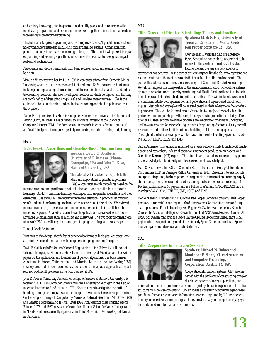and strategy knowledge, and to generate good quality plans; and introduce how the interleaving of planning and execution can be used to gather information that leads to increasingly more informed planning.

This tutorial is targeted at planning and learning researchers, AI practitioners, and technology managers interested in building robust planning systems. Commercialized planners do not yet use machine learning techniques. The tutorial will present integrated planning and learning algorithms, which have the potential to be of great impact in real-world applications.

Prerequisite knowledge: Familiarity with basic representation and search methods will be helpful.

Manuela Veloso received her Ph.D. in 1992 in computer science from Carnegie Mellon University, where she is currently an assistant professor. Dr. Veloso's research interests include planning, analogical reasoning, and the combination of analytical and inductive learning methods. She also investigates methods in which perception and learning are combined to address jointly high-level and low-level reasoning tasks. She is the author of a book on planning and analogical reasoning and she has published over thirty papers.

Daniel Borrajo received his Ph.D. in Computer Science from Universidad Politécnica de Madrid (UPM) in 1990. He is currently an Associate Professor at the School of Computer Science (UPM). Dr. Borrajo's main research interest is the integration of Artificial Intelligence techniques, specially concerning machine learning and planning.

#### **MA3:**

#### **Title: Genetic Algorithms and Genetics-Based Machine Learning**



*Speakers: David E. Goldberg, University of Illinois at Urbana-Champaign, USA and John R. Koza, Stanford University, USA*

This tutorial will introduce participants to the ideas and applications of *genetic algorithms* (GAs)—computer search procedures based on the

mechanics of natural genetics and natural selection—and *genetics-based machine learning* (GBML)—machine learning techniques that use genetic algorithms and their derivatives. GAs and GBML are receiving increased attention in practical yet difficult search and machine learning problems across a spectrum of disciplines. We review the mechanics of a simple genetic algorithm and consider the implicit parallelism that underlies its power. A parade of current search applications is reviewed as are more advanced GA techniques such as niching and messy GAs. The two most prominent techniques of GBML, classifier *systems* and *genetic programming*, are also surveyed.

#### Tutorial Level: Beginning

Prerequisite Knowledge: Knowledge of genetic algorithms or biological concepts is not assumed. A general familiarity with computers and programming is required.

David E. Goldberg is Professor of General Engineering at the University of Illinois at Urbana-Champaign. He holds a Ph.D. from the University of Michigan and has written papers on the application and foundations of genetic algorithms. His book *Genetic Algorithms in Search, Optimization, and Machine Learning* (Addison-Wesley, 1989) is widely used and his recent studies have considered an integrated approach to the fast solution of difficult problems using non-traditional GAs.

John R. Koza is Consulting Professor of Computer Science at Stanford University. He received his Ph.D. in Computer Science from the University of Michigan in the field of machine learning and induction in 1972. He currently is investigating the artificial breeding of computer programs and has completed two books, *Genetic Programming: On the Programming of Computer by Means of Natural Selection* (MIT Press 1992) and *Genetic Programming II* (MIT Press 1994), that describe these ongoing efforts. Between 1973 and 1987 he was chief executive officer of Scientific Games Incorporated in Atlanta, and he is currently a principal in Third Millennium Venture Capital Limited in California.

#### **MA4:**

#### **Title: Constraint Directed Scheduling: Theory and Practice**



*Speakers: Mark S. Fox, University of Toronto, Canada and Monte Zweben, Red Pepper Software Co., USA*

Over the last 15 years the field of Knowledge-Based Scheduling has explored a variety of techniques for the creation of realistic schedules. During the last five years, a convergence of

approaches has occurred. At the core of this convergence lies the ability to represent and reason about the plethora of constraints that exist in scheduling environments. The goal of this tutorial is to convey the core concepts of Constraint-Directed Scheduling. We will first explore the complexities of the environments in which scheduling systems operate in order to understand why scheduling is difficult. Next the theoretical foundation of constraint-directed scheduling will be described. This will include basic concepts in constraint satisfaction/optimization and generative and repair-based search techniques. Methods and examples will be selected based on their relevance to the scheduling problem. This will be followed by a review of the two major classes of scheduling problems: flow and job shops, with examples of systems in production use today. The tutorial will then explore how these problems are exacerbated by domain uncertainty and how uncertainty forces scheduling to reconsider planning decisions. Lastly, we will review current directions in distribution scheduling decisions among agents. Throughout the tutorial examples will be drawn from real scheduling systems, including GERRY, KBLPS, REDS, and LMS.

Target Audience: This tutorial is intended for a wide audience likely to include AI practitioners and researchers, industrial operations managers, production managers, and Operations Research (OR) experts. The tutorial participant does not require any prerequisite knowledge but familiarity with basic search methods is helpful.

Mark S. Fox received his B.Sc. in Computer Science from the University of Toronto in 1975 and his Ph.D. in Carnegie Mellon University in 1983. Research interests include enterprise integration, business process re-engineering, concurrent engineering, supply chain management, constrain directed reasoning and common sense modeling. Dr. Fox has published over 50 papers, and is a Fellow of AAAI and CIAR/PRECARN, and a member of AAAI, ACM, IEEE, IIE, SME, CSCSI and TIMS.

Monte Zweben is President and CEO of the Red Pepper Software Company. Red Pepper produces commercial planning and scheduling systems for manufacturing and large scale operations. Prior to founding Red Pepper, Mr. Zweben was the Deputy Branch Chief of the Artificial Intelligence Research Branch at NASA Ames Research Center. At NASA, Mr. Zweben managed the Space Shuttle Ground Processing Scheduling (GPSS) project which is operationally used at the Kennedy Space Center to coordinate Space Shuttle repairs, maintenance, and refurbishment.

#### **MA5:**

#### **Title: Cooperative Information Systems**



*Speakers: Michael N. Huhns and Munindar P. Singh, Microelectronics and Computer Technology Corporation, Austin, TX, USA*

Cooperative Information Systems (CIS) are concerned with the problems of constructing complex distributed systems of users, applications, and

information resources, problems made more urgent by the rapid expansion of the infrastructure for wide area computing. CIS embodies a collection of powerful agent-based paradigms for constructing open information systems. Importantly, CIS are a generation beyond client-server computing, and they provide a way to incorporate legacy systems into modern information environments.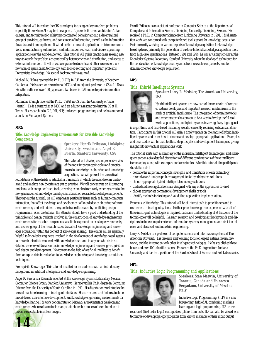This tutorial will introduce the CIS paradigms, focusing on key unsolved problems, especially those where AI may best be applied. It presents theories, architecture's, languages, and techniques for achieving coordinated behavior among a decentralized group of providers, gatherers, and consumers of information, as well as the information flows that exist among them. It will describe successful applications in telecommunications, manufacturing automation, and information retrieval, and discuss upcoming applications over the world-wide web. This tutorial will guide practitioners seeking new ways to attack the problems engendered by heterogeneity and distribution, and access to external information. It will introduce graduate students and other researchers to a new area of agent-based technology, with lots of exciting and important problems. Prerequisite knowledge: No special background is assumed.

Michael N. Huhns received the Ph.D. (1975) in E.E. from the University of Southern California. He is a senior researcher at MCC and an adjunct professor in CS at U. Texas. He is the author of over 100 papers and two books in DAI and enterprise information integration.

Munindar P. Singh received the Ph.D. (1992) in CS from the University of Texas (Austin). He is a researcher at MCC, and an adjunct assistant professor in CS at U. Texas. His research is in CIS, DAI, NLP, and agent programming, and he has authored a book on Multiagent Systems.

#### **MP2:**

#### **Title: Knowledge Engineering Environments for Reusable Knowledge Components**



#### *Speakers: Henrik Eriksson, Linköping University, Sweden and Angel R. Puerta, Stanford University, USA*

This tutorial will develop a comprehensive view of the most important principles and practical issues in knowledge engineering and knowledge acquisition. We will present the theoretical

foundations of these fields to establish a framework in which the attendee can understand and analyze how theories are put to practice. We will concentrate on illustrating problems with computer-based tools, covering examples from early expert systems to the new generation of knowledge-based systems based on reusable knowledge components. Throughout the tutorial, we will emphasize particular issues such as human-computer interaction, that affect the design and development of knowledge-engineering software environments, and will address the specific tradeoffs created by conflicting design requirements. After the tutorial, the attendee should have a good understanding of the principles and design tradeoffs involved in the construction of knowledge-engineering environments for reusable components, a solid background on existing environments, and a clear grasp of the research issues that affect knowledge engineering and knowledge acquisition within the context of knowledge sharing. The course will be especially helpful to knowledge engineers involved in the development of knowledge-based systems to research scientists who work with knowledge bases, and to anyone who desires a detailed overview of the advances in knowledge-engineering and knowledge-acquisition tool design and development. Newcomers to the field of artificial intelligence benefit from an up-to-date introduction to knowledge-engineering and knowledge-acquisition techniques.

Prerequisite Knowledge: This tutorial is suited for an audience with an introductory background in artificial intelligence and knowledge engineering.

Angel R. Puerta is a Research Scientist at the Knowledge Systems Laboratory, Medical Computer Science Group, Stanford University. He received his Ph.D. degree in Computer Science from the University of South Carolina in 1990. His dissertation work studies the uses of machine learning in intelligent interfaces. His current research interest include model-based user-interface development, and knowledge-engineering environments for knowledge sharing. His work concentrates on *Mecano,* a user-interface development environment where software tools manipulate shareable models of user interfaces to produce executable interface designs.



Henrik Eriksson is an assistant professor in Computer Science at the Department of Computer and Information Science, Linköping University, Linköping, Sweden. He received a Ph.D. in Computer Science from Linköping University in 1991. His dissertation work was concerned with computer-based tool support for knowledge acquisition. He is currently working on various aspects of knowledge-acquisition for knowledge based systems, primarily the generation of custom-tailored knowledge acquisition tools from high-level specifications. Between 1991 and 1994, he was a visiting scholar at the Knowledge Systems Laboratory, Stanford University, where he developed techniques for the construction of knowledge-based systems from reusable components, and for domain-oriented knowledge acquisition.

#### **MP3:**

#### **Title: Hybrid Intelligent Systems**



#### *Speaker: Larry R. Medsker, The American University, USA*

Hybrid intelligent systems are now part of the repertoire of computer systems developers and important research mechanisms in the study of artificial intelligence. The integration of neural networks and expert systems has proven to be a way to develop useful realworld applications, and hybrid systems involving fuzzy logic, genet-

ic algorithms, and case-based reasoning are also currently receiving substantial attention. Participants in this tutorial will gain a timely update on the status of hybrid intelligent systems and learn how to choose and develop appropriate applications. Examples and case studies will be used to illustrate principles and development techniques, giving insight into how actual applications work.

The tutorial starts with a summary of the individual intelligent technologies, and subsequent sections give detailed discussions of different combinations of these intelligent technologies, along with examples and case studies. After this tutorial, the participants should be able to

- describe the important concepts, strengths, and limitations of each technology
- recognize and analyze problems appropriate for hybrid system solutions
- choose appropriate hybrid intelligent technology solutions
- understand how applications are designed with any of the approaches covered
- choose appropriate commercial development shells or tools
- identify methods for testing and validating application implementations

Prerequisite Knowledge: This tutorial will be of interest both to practitioners and to researchers in intelligent systems. Neither prior knowledge nor experience with all of these intelligent technologies is required, but some understanding of at least one of the technologies will be helpful. Relevant research and development backgrounds and disciplines include computer science, information systems, management and decision science, and electrical and industrial engineering.

Larry R. Medsker is a professor of computer science and information systems at The American University. His research and teaching focus on expert systems, neural networks, and the integration with other intelligent technologies. He has published three books and over 100 scientific papers. He earned the Ph.D. degree from Indiana University and has held positions at the Purdue School of Science and Bell Laboratories.

#### **MP4:**

#### **Title: Inductive Logic Programming and Applications**



*Speakers: Stan Matwin, University of Toronto, Canada and Francesco Bergadano, University of Messina, Italy*

Inductive Logic Programming (ILP) is a new, burgeoning field of AI, combining machine learning and logic programming. ILP learns

relational (first order logic) concept descriptions from facts. ILP can also be viewed as a technique of developing logic programs from known instances of their input-output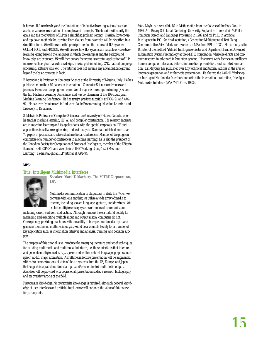behavior. ILP reaches beyond the limitations of inductive learning systems based on attribute-value representation of examples and concepts. The tutorial will clarify the goals and the motivations of ILP in a simplified problem setting. Classical bottom-up and top-down methods for learning Horn clauses from examples will be described in a simplified form. We will describe the principles behind the successful ILP systems: GOLEM, FOIL, and PROGOL. We will discuss how ILP systems are capable of «creative» learning, going beyond the language in which the examples and the background knowledge are expressed. We will then survey the recent, successful applications of ILP in areas such as pharmaceuticals design, music, protein folding, CAD, natural language processing, software tools etc. The tutorial does not assume any advanced background beyond the basic concepts in logic.

F. Bergadano is Professor of Computer Science at the University of Messina, Italy. He has published more than 60 papers in international Computer Science conferences and journals. He was on the program committee of major AI meetings including IJCAI and the Int. Machine Learning Conference, and was co-chairman of the 1994 European Machine Learning Conference. He has taught previous tutorials at IJCAI-91 and AAAI-94. He is currently interested in Inductive Logic Programming, Machine Learning and Discovery in Databases.

S. Matwin is Professor of Computer Science at the University of Ottawa, Canada, where he teaches machine learning, ILP, AI, and compiler construction. His research interests are in machine learning and its applications, with the special emphasis on ILP and applications in software engineering and text analysis. Stan has published more than 70 papers in journals and refereed international conferences. Member of the program committee of a number of conferences in machine learning, he is also the president of the Canadian Society for Computational Studies of Intelligence, member of the Editorial Board of IEEE EXPERT, and vice-chair of IFIP Working Group 12.2 (Machine Learning). He has taught an ILP tutorial at AAAI-94.

#### **MP5:**

#### **Title: Intelligent Multimedia Interfaces**



*Speaker: Mark T. Maybury, The MITRE Corporation, USA*

Multimedia communication is ubiquitous in daily life. When we converse with one another, we utilize a wide array of media to interact, including spoken language, gestures, and drawings. We exploit multiple sensory systems or modes of communication

including vision, audition, and taction. Although humans have a natural facility for managing and exploiting multiple input and output media, computers do not. Consequently, providing machines with the ability to interpret multimedia input and generate coordinated multimedia output would be a valuable facility for a number of key application such as information retrieval and analysis, training, and decision support.

The purpose of this tutorial is to introduce the emerging literature and set of techniques for building multimedia and multimodal interfaces, i.e. those interfaces that interpret and generate multiple media, e.g., spoken and written natural language, graphics, nonspeech audio, maps, animation. A multimedia lecture presentation will be augmented with video demonstrations of state of the art systems from the US, Europe, and Japan that support integrated multimedia input and/or coordinated multimedia output. Attendees will be provided with copies of all presentation slides, a research bibliography, and an overview article of the field.

Prerequisite Knowledge: No prerequisite knowledge is required, although general knowledge of user interfaces and artificial intelligence will enhance the value of this course for participants.

Mark Maybury received his BA in Mathematics from the College of the Holy Cross in 1986. As a Rotary Scholar at Cambridge University, England he received his M.Phil in Computer Speech and Language Processing in 1987 and his Ph.D. in Artificial Intelligence in 1991 for his dissertation, «Generating Multisentential Text Using Communicative Acts:. Mark was awarded an MBA from RPI in 1989. He currently is the Director of the Bedford Artificial Intelligence Center and Department Head of Advanced Information Systems Technology at the MITRE Corporation, where he directs and conducts research in advanced information systems. His current work focuses on intelligent human computer interfaces, tailored information presentation, and narrated animation. Dr. Maybury has published over fifty technical and tutorial articles in the area of language generation and multimedia presentation. He chaired the AAAI-91 Workshop on Intelligent Multimedia Interfaces and edited the international collection, Intelligent Multimedia Interfaces (AAAI/MIT Press, 1993).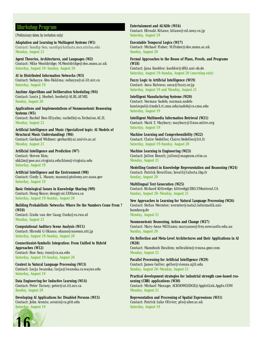### Workshop Program

(Preliminary dates; by invitation only)

**Adaptation and Learning in Multiagent Systems (W1)** *Contact: Sandip Sen; sandip@kolkata.mcs.utulsa.edu* **Monday, August 21** 

**Agent Theories, Architectures, and Languages (W2)** *Contact: Mike Wooldridge; M.Wooldridge@doc.mmu.ac.uk*  **Saturday, August 19–Sunday, August 20**

**AI in Distributed Information Networks (W3)** *Contact: Suhayya Abu-Hakima; suhayya@ai.iit.nrc.ca*  **Saturday, August 19**

**Anytime Algorithms and Deliberation Scheduling (W4)** *Contact: Louis J. Hoebel; hoebel@AI.RL.AF.MIL* **Sunday, August 20**

**Applications and Implementations of Nonmonotonic Reasoning Systems (W5)** *Contact: Rachel Ben-Eliyahu; rachelb@cs.Technion.AC.IL*  **Monday, August 21** 

**Artificial Intelligence and Music (Specialized topic: AI Models of Structural Music Understanding) (W6)** *Contact: Gerhard Widmer; gerhard@ai.univie.ac.at*  **Monday, August 21** 

#### **Artificial Intelligence and Prediction (W7)**

*Contact: Steven Kim; shk2m@poe.acc.virginia.edu/kims@virginia.edu* **Saturday, August 19**

**Artificial Intelligence and the Environment (W8)** *Contact: Cindy L. Mason; mason@ptolemy.arc.nasa.gov* **Saturday, August 19**

**Basic Ontological Issues in Knowledge Sharing (W9)** *Contact: Doug Skuce; doug@csi.UOttawa.ca*  **Saturday, August 19-Sunday, August 20**

**Building Probabilistic Networks: Where Do the Numbers Come From ? (W10)** *Contact: Linda van der Gaag; linda@cs.ruu.nl* **Monday, August 21** 

**Computational Auditory Scene Analysis (W11)** *Contact: Hiroshi G Okuno; okuno@nuesun.ntt.jp* **Saturday, August 19-Sunday, August 20**

**Connectionist-Symbolic Integration: From Unified to Hybrid Approaches (W12)** *Contact: Ron Sun; rsun@cs.ua.edu*  **Saturday, August 19-Sunday, August 20**

**Context in Natural Language Processing (W13)** *Contact: Lucja Iwanska; lucja@iwanska.cs.wayne.edu*  **Saturday, August 19**

**Data Engineering for Inductive Learning (W14)** *Contact: Peter Turney; peter@ai.iit.nrc.ca* **Sunday, August 20**

**Developing AI Applications for Disabled Persons (W15)** *Contact: John Aronis; aronis@cs.pitt.edu* **Saturday, August 19**



**Entertainment and AI/Alife (W16)** *Contact: Hiroaki Kitano; kitano@csl.sony.co.jp* **Saturday, August 19** 

**Executable Temporal Logics (W17)** *Contact: Michael Fisher; M.Fisher@doc.mmu.ac.uk* **Sunday, August 20**

**Formal Approaches to the Reuse of Plans, Proofs, and Programs (W18)** *Contact: Jana Koehler; koehler@dfki.uni-sb.de* **Saturday, August 19-Sunday, August 20 (morning only)**

**Fuzzy Logic in Artificial Intelligence (W19)** *Contact: Anca Ralescu; anca@fuzzy.or.jp*  **Saturday, August 19 and Monday, August 21** 

**Intelligent Manufacturing Systems (W20)** *Contact: Norman Sadeh; norman.sadehkoniecpol@cimds3.ri.cmu.edu/sadeh@cs.cmu.edu* **Saturday, August 19** 

**Intelligent Multimedia Information Retrieval (W21)** *Contact: Mark T. Maybury; maybury@linus.mitre.org* **Saturday, August 19** 

**Machine Learning and Comprehensibility (W22)** *Contact: Claire Nedellec; Claire.Nedellec@lri.fr*  **Saturday, August 19-Sunday, August 20**

**Machine Learning in Engineering (W23)** *Contact: Julien Benoit; julien@magnum.crim.ca*  **Monday, August 21** 

**Modelling Context in Knowledge Representation and Reasoning (W24)** *Contact: Patrick Brezillon; brezil@laforia.ibp.fr*  **Sunday, August 20**

**Multilingual Text Generation (W25)** *Contact: Richard Kittredge; kittredg@IRO.UMontreal.CA* **Sunday, August 20–Monday, August 21** 

**New Approaches to Learning for Natural Language Processing (W26)** *Contact: Stefan Wermter; wermter@nats2.informatik.unihamburg.de* **Monday, August 21** 

**Nonmonotonic Reasoning, Action and Change (W27)** *Contact: Mary-Anne Williams; maryanne@frey.newcastle.edu.au* **Sunday, August 20** 

**On Reflection and Meta-Level Architectures and their Applications in AI (W28)** *Contact: Mamdouh Ibrahim; mibrahim@rcsuna.gmr.com* **Monday, August 21** 

**Parallel Processing for Artificial Intelligence (W29)** *Contact: James Geller; geller@vienna.njit.edu* **Sunday, August 20–Monday, August 21** 

**Practical development strategies for industrial strength case-based reasoning (CBR) applications (W30)** *Contact: Michael Manago; ACKNOWLEDGE@AppleLink.Apple.COM*  **Monday, August 21** 

**Representation and Processing of Spatial Expressions (W31)** *Contact: Patrick Luke Olivier; plo@aber.ac.uk* **Saturday, August 19**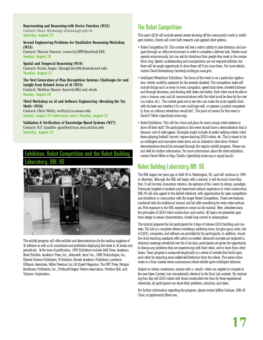**Representing and Reasoning with Device Function (W32)** *Contact: Dean Allemang; allemang@vptt.ch*  **Saturday, August 19** 

#### **Second Engineering Problems for Qualitative Reasoning Workshop (W33)**

*Contact: Marcos Vescovi; vescovi@HPP.Stanford.EDU* **Sunday, August 20** 

**Spatial and Temporal Reasoning (W34)** *Contact: Frank Anger; fdang@dcs106.dcsnod.uwf.edu* **Monday, August 21** 

**The Next Generation of Plan Recognition Systems: Challenges for and Insight from Related Areas of AI (W35)** *Contact: Mathias Bauer; bauer@dfki.uni-sb.de*

**Sunday, August 20** 

#### **Third Workshop on AI and Software Engineering «Breaking the Toy Mold» (W36)**

*Contact: Chris Welty; weltyc@cs.vassar.edu* **Sunday, August 20 (afternoon only)–Monday, August 21** 

**Validation & Verification of Knowledge-Based Systems (W37)** *Contact: R.F. Gamble; gamble@tara.mcs.utulsa.edu* **Saturday, August 19** 

## Exhibition, Robot Competition and the Robot Building Laboratory, RBL-95



The exhibit program will offer exhibits and demonstrations by the leading suppliers of AI software as well as AI consultants and publishers displaying the latest in AI books and periodicals. At the time of publication, 1995 Exhibitors include AAAI Press, Academia Book Exhibits, Academic Press, Inc., Acknosoft, Amzi! Inc., DHR Technologies, Inc., Elsevier Science Publishers, IS Robotics, Kluwer Academic Publishers, Lawrence Erlbaum Associates, Miller Freeman Inc./AI Expert Magazine, The MIT Press, Morgan Kaufmann Publishers, Inc., Portland/Oregon Visitors Association, Prentice Hall, and Talarian Corporation.

## The Robot Competition

This year's IJCAI will include several events showing off the community's work in intelligent robotics. Events will cover both research and applied robot systems.

- Robot Competition 95: This contest will test a robot's ability to take direction and navigate through an office environment in order to complete a delivery task. Robots must operate autonomously, but can ask for directions from people they meet in the competition ring. Speech understanding and manipulation are not required abilities, but there will be ample opportunity to show them off if you have them. For more details, contact David Kortenkamp (korten@mickey.jsc.nasa.gov).
- Intelligent Wheelchair Exhibition: The focus of this event is on a particular application: robotic mobility assistants for the severely disabled. The competition tasks will include things such as room to room navigation, speed trials down crowded hallways and through doorways, and docking with desks and tables. Each robot must be able to carry a human user, and all communications with the robot must be done by the user (no radios, etc.). The contest goals are to see who can make the most capable chair with the best user interface (if a user could type well, or operate a joystick competently, than an ordinary wheelchair would do!). The point of contact for this event is David P. Miller (dpmiller@mitre.org).
- Robot Exhibition: This will be a time and place for some unique robot systems to show off their stuff. The participants in this event should have a demonstration that is dynamic and of wide appeal. Examples might include: bi-pedal walking robots; robot teams playing football (soccer); square dancing LEGO robots, etc. This is meant to be an intelligent and innovative robot show, not an industrial robot show. Product demonstrations should be arranged through the regular exhibit program. Please contact AAAI for further information. For more information about the robot exhibition, contact David Miller or Raja Chatila (dpmiller@mitre.org or raja@laas.fr)

## Robot Building Laboratory RBL-95

The RBL began two years ago at AAAI-93 in Washington, DC, and will continue in 1995 in Montréal. Although the RBL will begin with a tutorial, it will be much more than that. It will be total-immersion robotics, the epitome of the «learn by doing» paradigm. Previously targeted at students and researchers without experience in robot construction, RBL-95 will also appeal to the skilled roboticist, with opportunities for open competition and exhibition in conjunction with the larger Robot Competition. These new features, combined with the traditional tutorial and lab offer something for every robot enthusiast. First exposure to the RBL experience comes via the tutorial. Here, attendees learn the principles of LEGO robot construction and control. All topics are presented; gear train design to sensor characteristics, closed-loop control to subsumption.

The tutorial prepares the lab participants for 4 days of intense LEGO building and contests. The lab is a complete robotics workshop; soldering irons, hot glue guns, tools, lots of LEGO, computers, and software are provided for the participants. In addition, roundthe-clock teaching assistants offer advice as needed. Advanced concepts are explored in informal meetings scheduled over the 4 lab days; participants are given the opportunity to discuss any problems they are experiencing with their robot, and to learn from other teams. Team progress is measured empirically in a series of contests that build upon each other by requiring some added skill/behavior from the robots. This series culminates in a final contest where autonomous robots exhibit quite intelligent behavior.

Subject to certain constraints, anyone with a «small» robot can register to compete in the new Open Contest (not coincidentally identical to the final Lab contest). By contrasting four day-old LEGO robots with those constructed over time by these experienced roboticists, all participants can share their problems, solutions, and ideas.

For further information regarding the program, please contact Jeffrey Graham, RBL-95 Chair, at jsgraham@cftnet.com.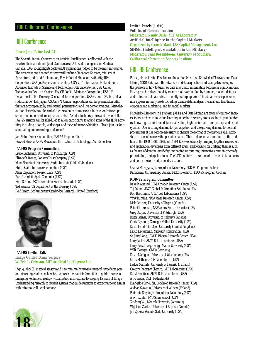### AAI Collocated Conferences

## IAAI Conference

#### **Please Join Us for IAAI-95!**

The Seventh Annual Conference on Artificial Intelligence is collocated with the Fourteenth International Joint Conference on Artificial Intelligence in Montréal, Canada. IAAI-95 highlights deployed AI applications judged to be the most innovative. The organizations honored this year will include Singapore Telecom; Ministry of Agriculture and Land Reclamation, Egypt; Port of Singapore Authority; IBM Corporation, USA; Jet Propulsion Laboratory, USA; VTT Information, Finland; Korea Advanced Institute of Science and Technology; GTE Laboratories, USA; United Technologies Research Center, USA; GE Capital Mortgage Corporation, USA; US Department of the Treasury; General Motors Corporation, USA; Canon USA, Inc.; Mita Industrial Co., Ltd, Japan; US Army AI Center. Applications will be presented in talks that are accompanied by audiovisual presentations and live demonstrations. Meet-theauthor discussions at the end of each session encourage close interaction between presenters and other conference participants. IAAI also includes panels and invited talks. IAAI-95 sessions will be scheduled to allow participants to attend some of the IJCAI activities, including tutorials, workshops, and the conference exhibition. Please join us for a stimulating and rewarding conference!

Jan Aikins, Xerox Corporation, IAAI-95 Program Chair Howard Shrobe, ARPA/Massachusetts Institute of Technology, IAAI-95 Cochair

#### **IAAI-95 Program Committee:**

Bruce Buchanan, University of Pittsburgh (USA) Elizabeth Byrnes, Bankers Trust Company (USA) Marc Eisenstadt, Knowledge Media Institute (United Kingdom) Philip Klahr, Inference Corporation (USA) Alain Rappaport, Neuron Data (USA) Earl Sacerdoti, Apple Computer (USA) Herb Schorr, USC/Information Science Institute (USA) Ted Senator, US Department of the Treasury (USA) Reid Smith, Schlumberger Cambridge Research (United Kingdom)



**IAAI-95 Invited Talk** *Image Guided Brain Surgery* **W. Eric L. Grimson, MIT Artificial Intelligence Lab**

High quality 3D medical sensors and new minimally invasive surgical procedures pose an interesting challenge: how best to present relevant information to guide a surgeon. Emerging «enhanced reality» visualization methods are leveraging 15 years of Image Understanding research to provide systems that guide surgeons to extract targeted tissues with minimal collateral damage.

**Invited Panels** (to date): *Politics of Communication* **Moderator: Randy Davis, MIT AI Laboratory** *Artificial Intelligence in the Capital Markets* **Organized by Ganesh Mani, LBS Capital Management, Inc.** *SIMNET (Intelligent Simulation in the Military)* **Moderator: Paul Rosenbloom, University of Southern California/Information Sciences Institute**

## KDD-95 Conference

Please join us for the First International Conference on Knowledge Discovery and Data Mining (KDD-95). With the advances in data acquisition and storage technologies, the problem of how to turn raw data into useful information becomes a significant one. Having reached sizes that defy even partial examination by humans, modern databases and collections of data sets are literally swamping users. This data firehose phenomenon appears in many fields including science data analysis, medical and healthcare, corporate and marketing, and financial markets.

Knowledge Discovery in Databases (KDD) and Data Mining are areas of common interest to researchers in machine learning, machine discovery, statistics, intelligent databases, knowledge acquisition, data visualization, high performance computing, and expert systems. Due to strong demand for participation and the growing demand for formal proceedings, it has become necessary to change the format of the previous KDD workshops to a conference with open attendance. This conference will continue in the tradition of the 1989, 1991, 1993, and 1994 KDD workshops by bringing together researchers and application developers from different areas, and focusing on unifying themes such as the use of domain knowledge, managing uncertainty, interactive (human-oriented) presentation, and applications. The KDD conference also includes invited talks, a demo and poster session, and panel discussions.

Usama M. Fayyad, Jet Propulsion Laboratory, KDD-95 Program Cochair Ramasamy Uthurusamy, General Motors Research, KDD-95 Program Cochair

#### **KDD-95 Program Committee**

Rakesh Agrawal, IBM Almaden Research Center (USA) Tej Anand, AT&T Global Information Solutions (USA) Ron Brachman, AT&T Bell Laboratories (USA) Wray Buntine, NASA Ames Research Center (USA) Nick Cercone, University of Regina (Canada) Peter Cheeseman, NASA Ames Research Center (USA) Greg Cooper, University of Pittsburgh (USA) Brian Gaines, University of Calgary (Canada) Clark Glymour, Carnegie Mellon University (USA) David Hand, The Open University (United Kingdom) David Heckerman, Microsoft Corporation (USA) Se Jung Hong, IBM TJ Watson Research Center (USA) Larry Jackel, AT&T Bell Laboratories (USA) Larry Kerschberg, George Mason University (USA) Willi Kloesgen, GMD (Germany) David Madigan, University of Washington (USA) Chris Matheus, GTE Laboratories (USA) Heikki Mannila, University of Helsinki (Finland) Gregory Piatetsky-Shapiro, GTE Laboratories (USA) Daryl Pregibon, AT&T Bell Laboratories (USA) Arno Siebes, CWI (Netherlands) Evangelos Simoudis, Lockheed Research Center (USA) Andrzej Skowron, University of Warsaw (Poland) Padhraic Smyth, Jet Propulsion Laboratory (USA) Alex Tuzhilin, NYU Stern School (USA) Xindong Wu, Monash University (Australia) Wojciech Ziarko, University of Regina (Canada) Jan Zytkow, Wichita State University (USA)

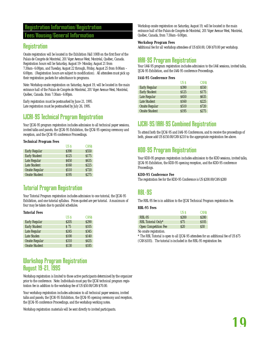## Registration Information/Registration

### Fees/Housing/General Information

## **Registration**

Onsite registration will be located in the Exhibition Hall 100B on the first floor of the Palais de Congrès de Montréal, 201 Viger Avenue West, Montréal, Québec, Canada. Registration hours will be Saturday, August 19–Monday, August 21 from 7:30am–6:00pm, and Tuesday, August 22 through, Friday, August 25 from 8:00am – 6:00pm. (Registration hours are subject to modification). All attendees must pick up their registration packets for admittance to programs.

Note: Workshop onsite registration on Saturday, August 19, will be located in the main entrance hall of the Palais de Congrès de Montréal, 201 Viger Avenue West, Montréal, Québec, Canada. from 7:30am–6:00pm.

Early registration must be postmarked by June 21, 1995. Late registration must be postmarked by July 26, 1995.

# IJCAI-95 Technical Program Registration

Your IJCAI-95 program registration includes admission to all technical paper sessions, invited talks and panels, the IJCAI-95 Exhibition, the IJCAI-95 opening ceremony and reception, and the IJCAI-95 conference Proceedings.

#### **Technical Program Fees**

|                       | US \$        | <b>CANS</b> |
|-----------------------|--------------|-------------|
| <b>Early Regular</b>  | \$390        | \$550       |
| <b>Early Student</b>  | <b>S125</b>  | <b>S175</b> |
| Late Regular          | <b>S450</b>  | <b>S635</b> |
| <b>Late Student</b>   | \$160        | <b>S225</b> |
| <b>Onsite Regular</b> | <b>\$510</b> | <b>S720</b> |
| <b>Onsite Student</b> | \$195        | <b>S275</b> |

## Tutorial Program Registration

Your Tutorial Program registration includes admission to one tutorial, the IJCAI-95 Exhibition, and one tutorial syllabus. Prices quoted are per tutorial. A maximum of four may be taken due to parallel schedules.

#### **Tutorial Fees**

|                       | US \$            | <b>CANS</b> |
|-----------------------|------------------|-------------|
| <b>Early Regular</b>  | <b>S205</b>      | \$290       |
| <b>Early Student</b>  | \$75             | <b>S105</b> |
| Late Regular          | S <sub>245</sub> | <b>S345</b> |
| Late Studen           | \$100            | \$140       |
| <b>Onsite Regular</b> | \$310            | S435        |
| <b>Onsite Student</b> | \$130            | \$185       |
|                       |                  |             |

## Workshop Program Registration August 19-21, 1995

Workshop registration is limited to those active participants determined by the organizer prior to the conference. Note: Individuals must pay the IJCAI technical program registration fee in addition to the workshop fee of US \$50.00/CAN \$70.00.

Your workshop registration includes admission to all technical paper sessions, invited talks and panels, the IJCAI-95 Exhibition, the IJCAI-95 opening ceremony and reception, the IJCAI-95 conference Proceedings, and the workshop working notes.

Workshop registration materials will be sent directly to invited participants.

Workshop onsite registration on Saturday, August 19, will be located in the main entrance hall of the Palais de Congrès de Montréal, 201 Viger Avenue West, Montréal, Québec, Canada, from 7:30am–6:00pm.

#### **Workshop Program Fees**

Additional fee for all workshop attendees of US \$50.00, CAN \$70.00 per workshop.

## IAAI-95 Program Registration

Your IAAI-95 program registration includes admission to the IAAI sessions, invited talks, IJCAI-95 Exhibition, and the IAAI-95 conference Proceedings.

#### **IAAI-95 Conference Fees**

|                       | US S        | <b>CANS</b> |
|-----------------------|-------------|-------------|
| <b>Early Regular</b>  | \$390       | <b>S550</b> |
| <b>Early Student</b>  | \$125       | <b>S175</b> |
| Late Regular          | <b>S450</b> | <b>S635</b> |
| <b>Late Student</b>   | \$160       | <b>S225</b> |
| <b>Onsite Regular</b> | <b>S510</b> | <b>S720</b> |
| <b>Onsite Student</b> | \$195       | <b>S275</b> |

## IJCAI-95/IAAI-95 Combined Registration

To attend both the IJCAI-95 and IAAI-95 Conferences, and to receive the proceedings of both, please add US \$150.00/CAN \$210 to the appropriate registration fee above.

## KDD-95 Program Registration

Your KDD-95 program registration includes admission to the KDD sessions, invited talks, IJCAI-95 Exhibition, the KDD-95 opening reception, and the KDD-95 conference Proceedings.

#### **KDD-95 Conference Fee**

The registration fee for the KDD-95 Conference is US \$200.00/CAN \$280

## RBL-95

The RBL-95 fee is in addition to the IJCAI Technical Program registration fee.

#### **RBL-95 Fees**

|                             | US \$       | <b>CANS</b> |
|-----------------------------|-------------|-------------|
| RBL-95                      | <b>S200</b> | <b>S280</b> |
| RBL Tutorial Only*          | S75         | \$105       |
| <b>Open Competition Fee</b> | \$20        | S30         |

No onsite registration.

\* The RBL Tutorial is open to all IJCAI-95 attendees for an additional fee of US \$75 (CAN \$105). The tutorial is included in the RBL-95 registration fee.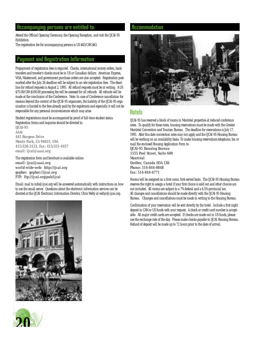### Accompanying persons are entitled to:

Attend the Official Opening Ceremony, the Opening Reception, and visit the IJCAI-95 Exhibition.

The registration fee for accompanying persons is US \$45/CAN \$63

### Payment and Registration Information

Prepayment of registration fees is required. Checks, international money orders, bank transfers and traveler's checks must be in US or Canadian dollars. American Express, VISA, Mastercard, and government purchase orders are also accepted. Registration postmarked after the July 26 deadline will be subject to on-site registration fees. The deadline for refund requests is August 2, 1995. All refund requests must be in writing. A US \$75.00/CAN \$100.00 processing fee will be assessed for all refunds. All refunds will be made at the conclusion of the Conference. Note: In case of Conference cancellation for reasons beyond the control of the IJCAI-95 organizers, the liability of the IJCAI-95 organization is limited to the fees already paid by the registrants and especially it will not be responsible for any personal inconveniences which may arise.

Student registrations must be accompanied by proof of full-time student status. Registration forms and inquiries should be directed to:

*IJCAI-95 AAAI 445 Burgess Drive Menlo Park, CA 94025, USA 415/328-3123, Fax: 415/321-4457 email: ijcai@aaai.org*

The registration form and brochure is available online: *email: ijcai@aaai.org world-wide-web: http://ijcai.org gopher: gopher://ijcai.org FTP: ftp://ijcai.org/pub/ijcai*

Email: mail to info@ijcai.org will be answered automatically with instructions on how to use the email server. Questions about the electronic information services can be directed at the IJCAI Electronic Information Director, Chris Welty at weltyc@ijcai.org.





### Accommodation



## **Hotels**

IJCAI-95 has reserved a block of rooms in Montréal properties at reduced conference rates. To qualify for these rates, housing reservations must be made with the Greater Montréal Convention and Tourism Bureau. The deadline for reservations is July 17, 1995. After this date convention rates may not apply and the IJCAI-95 Housing Bureau will be working on an availability basis. To make housing reservations telephone, fax or mail the enclosed Housing Application Form to:

*IJCAI-95 Housing Bureau 1555 Peel Street, Suite 600 Montréal Québec, Canada H3A 1X6 Phone: 514-844-0848 Fax: 514-844-6771*

Rooms will be assigned on a first-come, first-served basis. The IJCAI-95 Housing Bureau reserves the right to assign a hotel if your first choice is sold out and other choices are not included. All rooms are subject to a 7% federal and a 6.5% provincial tax. All changes and cancellations should be made directly with the IJCAI-95 Housing Bureau. Changes and cancellations must be made in writing to the Housing Bureau.

Confirmation of your reservation will be sent directly by the hotel. Include a first night deposit in CAN or US funds with your request. A check or credit card number is acceptable. All major credit cards are accepted. If checks are made out in US funds, please use the exchange rate of the day. Please make checks payable to IJCAI Housing Bureau. Refund of deposit will be made up to 72 hours prior to the date of arrival.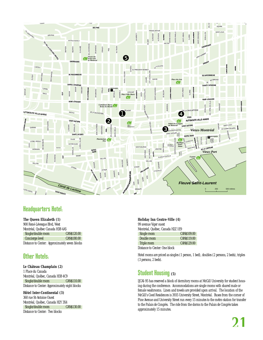

## Headquarters Hotel:

#### **The Queen Elizabeth (1)**

| 900 René-Lévesque Blvd, West                   |                   |
|------------------------------------------------|-------------------|
| Montréal, Québec Canada H3B 4A5                |                   |
| Single/double room                             | <b>CANS120.00</b> |
| Concierge level                                | CANS180.00        |
| Distance to Center: Approximately seven blocks |                   |

## Other Hotels:

### **Le Château Champlain (2)**

1 Place du Canada Montréal, Québec, Canada H3B 4C9 Single/double room CAN\$110.00 Distance to Center: Approximately eight blocks

**Hôtel Inter-Continental (3)**

360 rue St-Antoine Ouest Montréal, Québec, Canada H2Y 3X4<br>Single/double room CAN\$130.00 Single/double room Distance to Center: Two blocks

#### **Holiday Inn Centre-Ville (4)**

| 99 avenue Viger ouest            |                   |
|----------------------------------|-------------------|
| Montréal, Québec, Canada H2Z 1E9 |                   |
| Single room                      | <b>CANS109.00</b> |
| Double room                      | <b>CANS119.00</b> |
| Triple room                      | <b>CANS129.00</b> |
| Distance to Center: One block    |                   |

Hotel rooms are priced as singles (1 person, 1 bed), doubles (2 persons, 2 beds), triples (3 persons, 2 beds).

## Student Housing **(5)**

IJCAI-95 has reserved a block of dormitory rooms at McGill University for student housing during the conference. Accommodations are single rooms with shared male or female washrooms. Linen and towels are provided upon arrival. The location of the McGill's Coed Residences is 3935 University Street, Montréal. Buses from the corner of Pine Avenue and University Street run every 15 minutes to the métro station for transfer to the Palais de Congrès. The ride from the dorms to the Palais de Congrès takes approximately 15 minutes.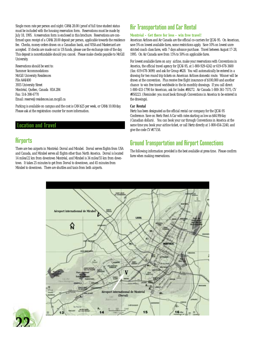Single room rate per person and night: CAN\$ 28.00 (proof of full time student status must be included with the housing reservation form. Reservations must be made by July 18, 1995. A reservation form is enclosed in this brochure. Reservations are confirmed upon receipt of a CAN\$ 28.00 deposit per person, applicable towards the residence fee. Checks, money orders drawn on a Canadian bank, and VISA and Mastercard are accepted. If checks are made out in US funds, please use the exchange rate of the day. This deposit is nonrefundable should you cancel. Please make checks payable to McGill University.

Reservations should be sent to: Summer Accommodations McGill University Residences File AAAI400 3935 University Street Montréal, Québec, Canada H3A 2B4 Fax: 514-398-6770 Email: reserve@residences.ian.mcgill.ca

Parking is available on campus and the cost is CAN \$25 per week, or CAN\$ 10.00/day. Please ask at the registration counter for more information.

### Location and Travel

## **Airports**

There are two airports in Montréal: Dorval and Mirabel. Dorval serves flights from USA and Canada, and Mirabel serves all flights other than North America. Dorval is located 14 miles/22 km from downtown Montréal, and Mirabel is 34 miles/55 km from downtown. It takes 25 minutes to get from Dorval to downtown, and 45 minutes from Mirabel to downtown. There are shuttles and taxis from both airports.

## Air Transportation and Car Rental

#### **Montréal – Get there for less – win free travel!**

American Airlines and Air Canada are the official co-carriers for IJCAI-95. On American, save 5% on lowest available fares, some restrictions apply. Save 10% on lowest unrestricted coach class fares, with 7 days advance purchase. Travel between August 17-28, 1995. On Air Canada save from 15% to 50% on applicable fares.

For lowest available fares on *any* airline, make your reservations with Conventions in America, the official travel agency for IJCAI-95, at 1-800-929-4242 or 619-678-3600 (fax: 619-678-3699) and ask for Group #428. You will automatically be entered in a drawing for two round trip tickets on American Airlines domestic route. Winner will be drawn at the convention. Plus receive free flight insurance of \$100,000 and another chance to win free travel worldwide in the bi-monthly drawings. If you call direct: 1-800-433-1790 for American, ask for Index #S9272. Air Canada 1-800-361-7575, CV #950223. (Reminder: you must book through Conventions in America to be entered in the drawings).

### **Car Rental**

Hertz has been designated as the official rental car company for the IJCAI-95 Conference. Save on Hertz Rent A Car with rates starting as low as \$44.99/day (Canadian dollars). You can book your car through Conventions in America at the same time you book your airline ticket, or call Hertz directly at 1-800-654-2240, and give the code CV #17158.

## Ground Transportation and Airport Connections

The following information provided is the best available at press time. Please confirm fares when making reservations.



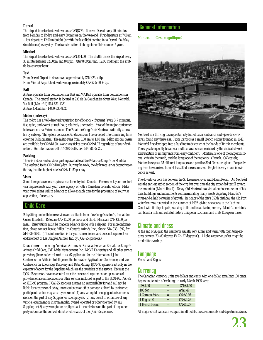#### **Dorval**

The airport transfer to downtown costs CAN\$8.75. It leaves Dorval every 20 minutes from Monday to Friday, and every 30 mintes on the weekend. First departure at 7:00am – last departure 12:00 midnight (or with the last flight coming in to Dorval if a delay should occur) every day. The transfer is free of charge for children under 5 years.

#### **Mirabel**

The airport transfer to downtown costs CAN \$14.00. The shuttle leaves the airport every 30 mintes between 12:00pm and 8:00pm. After 8:00pm until 12:00 midnight, the shuttle leaves every hour.

#### **Taxi**

From Dorval Airport to downtown: approximately CAN \$23 + tip. From Mirabel Airport to downtown: approximately CAN \$55-60 + tip.

#### **Rail**

Amtrak operates from destinations in USA and VIA Rail operates from destinations in Canada. The central station is located at 935 de La Gauchetière Street West, Montréal. Via Rail (Montréal) 514-871-1331 Amtrak (Montréal) 1-800-835-8725

#### **Métro (subway)**

The métro has a well-deserved reputation for efficiency – frequent (every 3-7 minutes), fast, quiet, and except at rush hour, relatively uncrowded. Most of the major conference hotels are near a Métro entrance. The Palais de Congrès de Montréal is directly accessible by subway. The system consists of 65 stations on 4 color-coded interconnecting lines covering 64 kilometers. The métro runs from 5:30 am to 1:00 am. Métro six-day passes are available for CAN\$18.00. A one way ticket costs CAN \$1.75 regardsless of your destination. For information call 514-280-5668, fax: 514-280-5020.

#### **Parking**

There is indoor and outdoor parking available at the Palais de Congrès de Montréal. The weekend fee is CAN \$10.00/day. During the week, the daily rate varies depending on the day, but the highest rate is CAN\$ 11.50 per day.

#### **Visas**

Some foreign travellers require a visa for entry into Canada. Please check your eventual visa requirements with your travel agency, or with a Canadian consular officer. Make your travel plans well in advance to allow enough time for the processing of your visa application, if necessary.

### Child Care

Babysitting and child care services are available from Les Congrès Animés, Inc. at the Queen Elizabeth. Rates are CAN \$5.00 per hour and child. Meals are CAN \$3.00 per meal. Reservations must be made in advance along with a deposit. For more information, please contact Denise Miller, Les Congrès Animés, Inc., phone: 514-938-1397, fax: 514-938-9605. (This information is for your convenience, and does not represent an endorsement of Les Congrès Animés, Inc. by IJCAI-95 sponsors.)

**Disclaimer:** In offering American Airlines, Air Canada, Hertz Car Rental, Les Congrès Animés Child Care, JPdL Multi Management Inc., McGill University and all other service providers, (hereinafter referred to as «Supplier(s)» for the International Joint Conference on Artificial Intelligence, the Innovative Applications Conference, and the Conference on Knowledge Discovery and Data Mining, IJCAI-95 sponsors act only in the capacity of agent for the Suppliers which are the providers of the service. Because the IJCAI-95 sponsors have no control over the personnel, equipment or operations of providers of accommodations or other services included as part of the IJCAI-95, IAAI-95 or KDD-95 program, IJCAI-95 sponsors assume no responsibility for and will not be liable for any personal delay, inconveniences or other damage suffered by conference participants which may arise by reason of (1) any wrongful or negligent acts or omissions on the part of any Supplier or its employees, (2) any defect in or failure of any vehicle, equipment or instrumentality owned, operated or otherwise used by any Supplier, or (3) any wrongful or negligent acts or omissions on the part of any other party not under the control, direct or otherwise, of the IJCAI-95 sponsors.

### General Information

#### **Montréal – C'est magnifique!**



Montréal is a thriving cosmopolitan city full of Latin ambiance and «joie de vivre» rarely found anywhere else. From its roots as a small French colony founded in 1642, Montréal first developed into a bustling trade center at the hands of British merchants. The city subsequently became a multicultural center, enriched by the dedicated work and tradition of immigrants from every continent. Montréal is one of the largest bilingual cities in the world, and the language of the majority is French. Collectively, Montrealers speak 35 different languages and practice 30 different religions. People living here have arrived from at least 80 diverse countries. English is very much in evidence as well.

The downtown core lies between the St. Lawrence River and Mount Royal. Old Montréal was the earliest settled section of the city, but over time the city expanded uphill toward the mountain (Mount Royal). Today, Old Montréal is a virtual outdoor museum of historic buildings and monuments commemorating many events depicting Montréal's three-and-a half centuries of growth. In honor of the city's 350th birthday, the Old Port waterfront was renovated in the summer of 1992, giving one access to the Lachine Canal with its bicycle path, walking trails and breathtaking scenery. Montréal certainly can boast a rich and colorful history unique in its charm and in its European flavor.

## Climate and dress

At the end of August, the weather is usually very sunny and warm with high temperatures between 70–80 degrees F (22–27 degrees C). A light sweater or jacket might be needed for evenings.

### Language

French and English

### Currency

The Canadian currency units are dollars and cents, with one dollar equalling 100 cents. Approximate rates of exchange in early March 1995 were:

| <b>USS1.00</b> |     | <b>CANS1.40</b> |
|----------------|-----|-----------------|
| 100 Yen        | $=$ | <b>ANS1.47</b>  |
| 1 German Mark  | $=$ | <b>CANS0.97</b> |
| 1 English £    | $=$ | CANS2.26        |
| 1 French Franc | =   | <b>CANS0.27</b> |

All major credit cards are accepted in all hotels, most restaurants and department stores.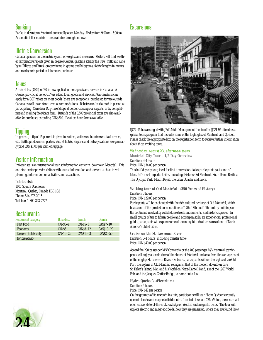## **Banking**

Banks in downtown Montréal are usually open Monday–Friday from 9:00am–5:00pm. Automatic teller machines are available throughout town.

## Metric Conversion

Canada operates on the metric system of weights and measures. Visitors will find weather temperature reports given in degrees Celsius, gasoline sold by the litre (milk and wine by millilitres and litres) grocery items in grams and kilograms, fabric lengths in metres, and road speeds posted in kilometres per hour.

## **Taxes**

A federal tax (GST) of 7% is now applied to most goods and services in Canada. A Québec provincial tax of 6,5% is added to all goods and services. Non-residents can apply for a GST rebate on most goods (there are exceptions) purchased for use outside Canada as well as on short-term accommodations. Rebates can be claimed in person at participating Canadian Duty Free Shops at border crossings or airports, or by completing and mailing the rebate form. Refunds of the 6,5% provincial taxes are also available for purchases exceeding CAN\$500. Retailers have forms available.

## **Tipping**

In general, a tip of 15 percent is given to waiters, waitresses, hairdressers, taxi drivers, etc. Bellhops, doormen, porters, etc., at hotels, airports and railway stations are generally paid CAN \$1.00 per item of luggage.

## Visitor Information

Infotouriste is an international tourist information center in downtown Montréal. This one-stop center provides visitors with tourist information and services such as travel planning, information on activities, and attractions.

#### **Infotouriste**

1001 Square Dorchester Montréal, Québec, Canada H3B 1G2 Phone: 514-873-2015 Toll free: 1-800-363-7777

## **Restaurants**

| Restaurant category | <b>Breakfast</b>  | Lunch     | Dinner           |
|---------------------|-------------------|-----------|------------------|
| <b>Fast Food</b>    | $CANS3-4$         | $CANS5-8$ | $CANS7-10$       |
| <b>Economy</b>      | CANS <sub>5</sub> | CANS8-12  | CANS10-20        |
| Deluxe (hotels only | $CAN15-25$        | CANS15-35 | <b>CANS25-50</b> |
| for breakfast)      |                   |           |                  |

## **Excursions**



IJCAI-95 has arranged with JPdL Multi Management Inc. to offer IJCAI-95 attendees a special tours program that includes some of the highlights of Montréal, and Québec. Please check the appropriate box on the registration form to receive further information about these exciting tours.

### **Wednesday, August 23, afternoon tours**

*Montréal City Tour – 1/2 Day Overview* Duration: 3-4 hours Price: CAN \$34.00 per person

This half-day city tour, ideal for first-time visitors, takes participants past some of Montréal's most important sites, including: Historic Old Montréal, Notre Dame Basilica, The Olympic Park, Mount Royal, the Latin Quarter and more.

### *Walking tour of Old Montréal: «350 Years of History»*

Duration: 3 hours

Price: CAN \$29.00 per person

Participants will be enchanted with the rich cultural heritage of Old Montréal, which boasts one of the greatest concentrations of 17th, 18th and 19th century buildings on the continent, marked by cobblestone streets, monuments, and historic squares. In small groups of ten to fifteen people and accompanied by an experienced professional guide, participants will explore some of the many historical treasures of one of North America's oldest cities.

#### *Cruise on the St. Lawrence River*

Duration: 3-4 hours (including transfer time) Price: CAN \$40.00 per person

Aboard the 290 passenger M/V Concordia or the 400 passenger M/V Montréal, participants will enjoy a scenic view of the shores of Montréal and area from the vantage point of the mighty St. Lawrence River. On board, participants will see the sights of the Old Port, the skyline of Old Montréal set against that of the modern downtown core, St. Helen's Island, Man and his World on Notre-Dame Island, site of the 1967 World Fair, and the Jacques-Cartier Bridge, to name but a few.

### *Hydro Québec's «Electrium»*

Duration: 4 hours

Price: CAN \$42 per person

On the grounds of its research insitute, participants will tour Hydro Québec's recently opened electric and magnetic field centre. Located close to a 735-kV line, the centre will offer visitors state-of-the-art knowledge on electric and magnetic fields. The tour will explore electric and magnetic fields; how they are generated, where they are found, how